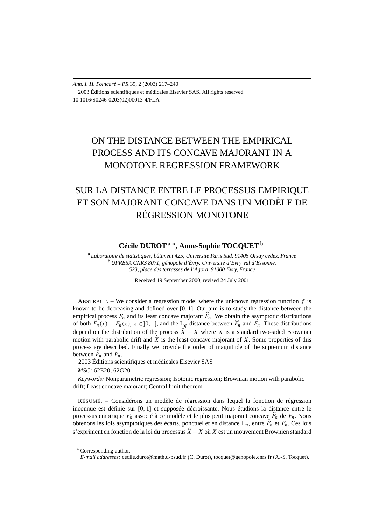*Ann. I. H. Poincaré – PR* 39, 2 (2003) 217–240 2003 Éditions scientifiques et médicales Elsevier SAS. All rights reserved 10.1016/S0246-0203(02)00013-4/FLA

# ON THE DISTANCE BETWEEN THE EMPIRICAL PROCESS AND ITS CONCAVE MAJORANT IN A MONOTONE REGRESSION FRAMEWORK

# SUR LA DISTANCE ENTRE LE PROCESSUS EMPIRIQUE ET SON MAJORANT CONCAVE DANS UN MODÈLE DE RÉGRESSION MONOTONE

### **Cécile DUROT**a*,*∗**, Anne-Sophie TOCQUET** <sup>b</sup>

<sup>a</sup> *Laboratoire de statistiques, bâtiment 425, Université Paris Sud, 91405 Orsay cedex, France* <sup>b</sup> *UPRESA CNRS 8071, génopole d'Évry, Université d'Évry Val d'Essonne, 523, place des terrasses de l'Agora, 91000 Évry, France*

Received 19 September 2000, revised 24 July 2001

ABSTRACT. – We consider a regression model where the unknown regression function  $f$  is known to be decreasing and defined over [0*,* 1]. Our aim is to study the distance between the empirical process  $F_n$  and its least concave majorant  $\hat{F}_n$ . We obtain the asymptotic distributions of both  $\widehat{F}_n(x) - F_n(x)$ ,  $x \in ]0, 1[$ , and the  $\mathbb{L}_q$ -distance between  $\widehat{F}_n$  and  $F_n$ . These distributions depend on the distribution of the process  $\hat{X} - X$  where *X* is a standard two-sided Brownian motion with parabolic drift and  $\hat{X}$  is the least concave majorant of X. Some properties of this process are described. Finally we provide the order of magnitude of the supremum distance between  $\widehat{F}_n$  and  $F_n$ .

2003 Éditions scientifiques et médicales Elsevier SAS

*MSC:* 62E20; 62G20

*Keywords:* Nonparametric regression; Isotonic regression; Brownian motion with parabolic drift; Least concave majorant; Central limit theorem

RÉSUMÉ. – Considérons un modèle de régression dans lequel la fonction de régression inconnue est définie sur [0*,* 1] et supposée décroissante. Nous étudions la distance entre le processus empirique *Fn* associé à ce modèle et le plus petit majorant concave *F<sup>n</sup>* de *Fn*. Nous obtenons les lois asymptotiques des écarts, ponctuel et en distance  $\mathbb{L}_q$ , entre  $\widehat{F}_n$  et  $F_n$ . Ces lois s'expriment en fonction de la loi du processus *X* −*X* où *X* est un mouvement Brownien standard

<sup>∗</sup> Corresponding author.

*E-mail addresses:* cecile.durot@math.u-psud.fr (C. Durot), tocquet@genopole.cnrs.fr (A.-S. Tocquet).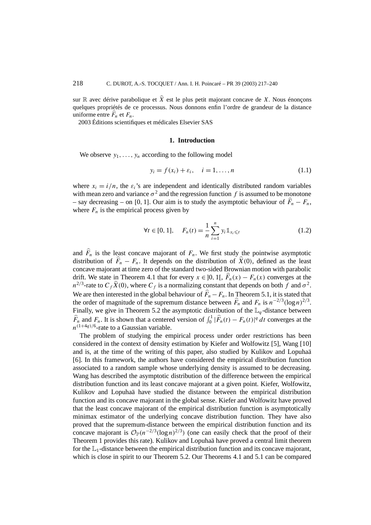sur  $\mathbb R$  avec dérive parabolique et  $\hat{X}$  est le plus petit majorant concave de *X*. Nous énonçons quelques propriétés de ce processus. Nous donnons enfin l'ordre de grandeur de la distance uniforme entre  $\widehat{F}_n$  et  $F_n$ .

2003 Éditions scientifiques et médicales Elsevier SAS

### **1. Introduction**

We observe  $y_1, \ldots, y_n$  according to the following model

$$
y_i = f(x_i) + \varepsilon_i, \quad i = 1, \dots, n
$$
\n(1.1)

where  $x_i = i/n$ , the  $\varepsilon_i$ 's are independent and identically distributed random variables with mean zero and variance  $\sigma^2$  and the regression function f is assumed to be monotone  $-$  say decreasing  $-$  on [0, 1]. Our aim is to study the asymptotic behaviour of  $F_n - F_n$ , where  $F_n$  is the empirical process given by

$$
\forall t \in [0, 1], \quad F_n(t) = \frac{1}{n} \sum_{i=1}^n y_i \mathbb{1}_{x_i \le t} \tag{1.2}
$$

and  $F_n$  is the least concave majorant of  $F_n$ . We first study the pointwise asymptotic distribution of  $\overline{F}_n - F_n$ . It depends on the distribution of  $\overline{X}(0)$ , defined as the least concave majorant at time zero of the standard two-sided Brownian motion with parabolic drift. We state in Theorem 4.1 that for every  $x \in ]0, 1[$ ,  $\hat{F}_n(x) - F_n(x)$  converges at the  $n^{2/3}$ -rate to  $C_f \hat{X}(0)$ , where  $C_f$  is a normalizing constant that depends on both *f* and  $\sigma^2$ . We are then interested in the global behaviour of  $\overline{F}_n - F_n$ . In Theorem 5.1, it is stated that the order of magnitude of the supremum distance between  $\hat{F}_n$  and  $F_n$  is  $n^{-2/3}(\log n)^{2/3}$ . Finally, we give in Theorem 5.2 the asymptotic distribution of the  $\mathbb{L}_q$ -distance between  $\hat{F}_n$  and  $F_n$ . It is shown that a centered version of  $\int_0^1 |\hat{F}_n(t) - F_n(t)|^q dt$  converges at the  $n^{(1+4q)/6}$ -rate to a Gaussian variable.

The problem of studying the empirical process under order restrictions has been considered in the context of density estimation by Kiefer and Wolfowitz [5], Wang [10] and is, at the time of the writing of this paper, also studied by Kulikov and Lopuhaä [6]. In this framework, the authors have considered the empirical distribution function associated to a random sample whose underlying density is assumed to be decreasing. Wang has described the asymptotic distribution of the difference between the empirical distribution function and its least concave majorant at a given point. Kiefer, Wolfowitz, Kulikov and Lopuhaä have studied the distance between the empirical distribution function and its concave majorant in the global sense. Kiefer and Wolfowitz have proved that the least concave majorant of the empirical distribution function is asymptotically minimax estimator of the underlying concave distribution function. They have also proved that the supremum-distance between the empirical distribution function and its concave majorant is  $\mathcal{O}_P(n^{-2/3}(\log n)^{2/3})$  (one can easily check that the proof of their Theorem 1 provides this rate). Kulikov and Lopuhaä have proved a central limit theorem for the  $\mathbb{L}_1$ -distance between the empirical distribution function and its concave majorant, which is close in spirit to our Theorem 5.2. Our Theorems 4.1 and 5.1 can be compared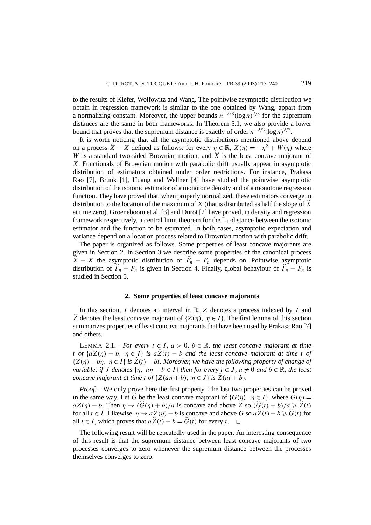to the results of Kiefer, Wolfowitz and Wang. The pointwise asymptotic distribution we obtain in regression framework is similar to the one obtained by Wang, appart from a normalizing constant. Moreover, the upper bounds  $n^{-2/3}(\log n)^{2/3}$  for the supremum distances are the same in both frameworks. In Theorem 5.1, we also provide a lower bound that proves that the supremum distance is exactly of order  $n^{-2/3}$  (log *n*)<sup>2/3</sup>.

It is worth noticing that all the asymptotic distributions mentioned above depend on a process  $\hat{X} - X$  defined as follows: for every  $\eta \in \mathbb{R}$ ,  $X(\eta) = -\eta^2 + W(\eta)$  where *W* is a standard two-sided Brownian motion, and  $\hat{X}$  is the least concave majorant of *X*. Functionals of Brownian motion with parabolic drift usually appear in asymptotic distribution of estimators obtained under order restrictions. For instance, Prakasa Rao [7], Brunk [1], Huang and Wellner [4] have studied the pointwise asymptotic distribution of the isotonic estimator of a monotone density and of a monotone regression function. They have proved that, when properly normalized, these estimators converge in distribution to the location of the maximum of *X* (that is distributed as half the slope of  $\hat{X}$ at time zero). Groeneboom et al. [3] and Durot [2] have proved, in density and regression framework respectively, a central limit theorem for the  $\mathbb{L}_1$ -distance between the isotonic estimator and the function to be estimated. In both cases, asymptotic expectation and variance depend on a location process related to Brownian motion with parabolic drift.

The paper is organized as follows. Some properties of least concave majorants are given in Section 2. In Section 3 we describe some properties of the canonical process  $\hat{X} - X$  the asymptotic distribution of  $\hat{F}_n - F_n$  depends on. Pointwise asymptotic distribution of  $\widehat{F}_n - F_n$  is given in Section 4. Finally, global behaviour of  $\widehat{F}_n - F_n$  is studied in Section 5.

### **2. Some properties of least concave majorants**

In this section, *I* denotes an interval in R, *Z* denotes a process indexed by *I* and  $\hat{Z}$  denotes the least concave majorant of  $\{Z(\eta), \eta \in I\}$ . The first lemma of this section summarizes properties of least concave majorants that have been used by Prakasa Rao [7] and others.

LEMMA 2.1. – *For every*  $t \in I$ ,  $a > 0$ ,  $b \in \mathbb{R}$ , the least concave majorant at time *t of*  $\{aZ(\eta) - b, \eta \in I\}$  *is*  $a\hat{Z}(t) - b$  *and the least concave majorant at time t of* {*Z(η)* − *bη, η* ∈ *I* } *is Z(t)* − *bt. Moreover, we have the following property of change of variable: if J* denotes  $\{\eta, a\eta + b \in I\}$  then for every  $t \in J$ ,  $a \neq 0$  and  $b \in \mathbb{R}$ , the least *concave majorant at time t of*  $\{Z(a\eta + b), \eta \in J\}$  *is*  $\hat{Z}(at + b)$ *.* 

*Proof.* – We only prove here the first property. The last two properties can be proved in the same way. Let  $\widehat{G}$  be the least concave majorant of  $\{G(\eta), \eta \in I\}$ , where  $G(\eta)$  =  $aZ(\eta) - b$ . Then  $\eta \mapsto (\widehat{G}(\eta) + b)/a$  is concave and above *Z* so  $(\widehat{G}(t) + b)/a \ge \widehat{Z}(t)$ for all *t* ∈ *I*. Likewise,  $\eta \mapsto a\hat{Z}(\eta) - b$  is concave and above *G* so  $a\hat{Z}(t) - b \ge \hat{G}(t)$  for all  $t \in I$ , which proves that  $a\hat{Z}(t) - b = \hat{G}(t)$  for every  $t$ .  $\Box$ all  $t \in I$ , which proves that  $a\hat{Z}(t) - b = \hat{G}(t)$  for every *t*.

The following result will be repeatedly used in the paper. An interesting consequence of this result is that the supremum distance between least concave majorants of two processes converges to zero whenever the supremum distance between the processes themselves converges to zero.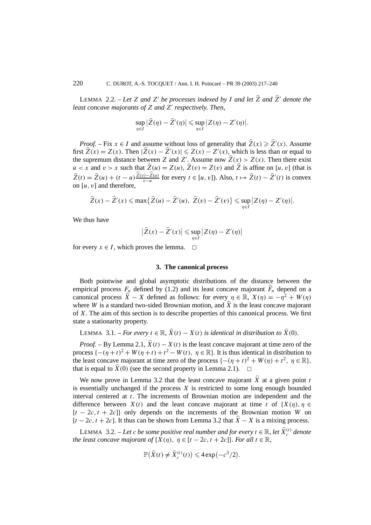LEMMA 2.2. – Let *Z* and *Z'* be processes indexed by *I* and let  $\hat{Z}$  and  $\hat{Z}'$  denote the *least concave majorants of Z and Z respectively. Then,*

$$
\sup_{\eta\in I}|\widehat{Z}(\eta)-\widehat{Z}'(\eta)|\leqslant \sup_{\eta\in I}|Z(\eta)-Z'(\eta)|.
$$

*Proof.* – Fix  $x \in I$  and assume without loss of generality that  $\hat{Z}(x) \ge \hat{Z}'(x)$ . Assume first  $\hat{Z}(x) = Z(x)$ . Then  $|\hat{Z}(x) - \hat{Z}'(x)| \leq Z(x) - Z'(x)$ , which is less than or equal to the supremum distance between *Z* and *Z'*. Assume now  $\hat{Z}(x) > Z(x)$ . Then there exist  $u < x$  and  $v > x$  such that  $\hat{Z}(u) = Z(u)$ ,  $\hat{Z}(v) = Z(v)$  and  $\hat{Z}$  is affine on [*u, v*] (that is  $\hat{Z}(t) = \hat{Z}(u) + (t - u)\frac{\hat{Z}(v) - \hat{Z}(u)}{v - u}$  for every  $t \in [u, v]$ ). Also,  $t \mapsto \hat{Z}(t) - \hat{Z}'(t)$  is convex on [*u, v*] and therefore,

$$
\widehat{Z}(x)-\widehat{Z}'(x)\leqslant \max\bigl\{\widehat{Z}(u)-\widehat{Z}'(u),\ \widehat{Z}(v)-\widehat{Z}'(v)\bigr\}\leqslant \sup_{\eta\in I}|Z(\eta)-Z'(\eta)|.
$$

We thus have

$$
\left|\widehat{Z}(x)-\widehat{Z}'(x)\right|\leq \sup_{\eta\in I}\left|Z(\eta)-Z'(\eta)\right|
$$

for every  $x \in I$ , which proves the lemma.  $\Box$ 

### **3. The canonical process**

Both pointwise and global asymptotic distributions of the distance between the empirical process  $F_{n}$  defined by (1.2) and its least concave majorant  $F_{n}$  depend on a canonical process  $\hat{X} - X$  defined as follows: for every  $\eta \in \mathbb{R}$ ,  $X(\eta) = -\eta^2 + W(\eta)$ where *W* is a standard two-sided Brownian motion, and  $\hat{X}$  is the least concave majorant of *X*. The aim of this section is to describe properties of this canonical process. We first state a stationarity property.

```
LEMMA 3.1. – For every t \in \mathbb{R}, \hat{X}(t) - X(t) is identical in distribution to \hat{X}(0).
```
*Proof.* – By Lemma 2.1,  $\hat{X}(t) - X(t)$  is the least concave majorant at time zero of the process  $\{-(\eta + t)^2 + W(\eta + t) + t^2 - W(t), \eta \in \mathbb{R}\}$ . It is thus identical in distribution to the least concave majorant at time zero of the process  $\{-(\eta + t)^2 + W(\eta) + t^2, \eta \in \mathbb{R}\},\$ that is equal to  $\hat{X}(0)$  (see the second property in Lemma 2.1).  $\Box$ 

We now prove in Lemma 3.2 that the least concave majorant  $\hat{X}$  at a given point *t* is essentially unchanged if the process *X* is restricted to some long enough bounded interval centered at *t*. The increments of Brownian motion are independent and the difference between  $X(t)$  and the least concave majorant at time t of  $\{X(\eta), \eta \in$ [*t* − 2*c,t* + 2*c*]} only depends on the increments of the Brownian motion *W* on  $[t - 2c, t + 2c]$ . It thus can be shown from Lemma 3.2 that  $\hat{X} - X$  is a mixing process.

LEMMA 3.2. – Let *c* be some positive real number and for every  $t \in \mathbb{R}$ , let  $\widehat{X}_c^{(t)}$  denote *the least concave majorant of*  $\{X(\eta), \eta \in [t-2c, t+2c]\}$ *. For all*  $t \in \mathbb{R}$ *,* 

$$
\mathbb{P}(\widehat{X}(t) \neq \widehat{X}_c^{(t)}(t)) \leq 4 \exp(-c^3/2).
$$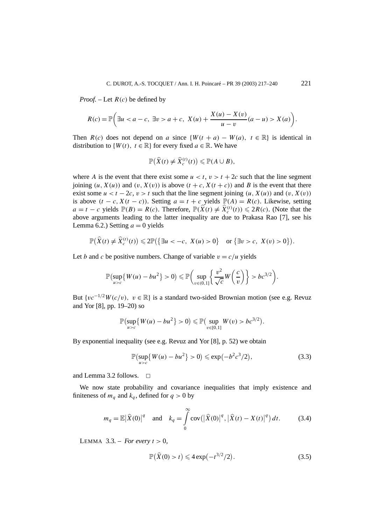*Proof. –* Let *R(c)* be defined by

$$
R(c) = \mathbb{P}\left(\exists u < a-c, \exists v > a+c, \ X(u) + \frac{X(u) - X(v)}{u - v}(a - u) > X(a)\right).
$$

Then  $R(c)$  does not depend on *a* since  $\{W(t + a) - W(a), t \in \mathbb{R}\}\)$  is identical in distribution to  $\{W(t), t \in \mathbb{R}\}\$  for every fixed  $a \in \mathbb{R}$ . We have

$$
\mathbb{P}\big(\widehat{X}(t) \neq \widehat{X}_c^{(t)}(t)\big) \leq \mathbb{P}(A \cup B),
$$

where *A* is the event that there exist some  $u < t$ ,  $v > t + 2c$  such that the line segment joining  $(u, X(u))$  and  $(v, X(v))$  is above  $(t + c, X(t + c))$  and *B* is the event that there exist some  $u < t - 2c$ ,  $v > t$  such that the line segment joining  $(u, X(u))$  and  $(v, X(v))$ is above  $(t - c, X(t - c))$ . Setting  $a = t + c$  yields  $\mathbb{P}(A) = R(c)$ . Likewise, setting *a* = *t* − *c* yields  $\mathbb{P}(B) = R(c)$ . Therefore,  $\mathbb{P}(\hat{X}(t) \neq \hat{X}_c^{(t)}(t)) \leq 2R(c)$ . (Note that the above arguments leading to the latter inequality are due to Prakasa Rao [7], see his Lemma 6.2.) Setting  $a = 0$  yields

$$
\mathbb{P}(\widehat{X}(t) \neq \widehat{X}_c^{(t)}(t)) \leq 2\mathbb{P}(\left\{\exists u < -c, X(u) > 0\right\} \text{ or } \left\{\exists v > c, X(v) > 0\right\}).
$$

Let *b* and *c* be positive numbers. Change of variable  $v = c/u$  yields

$$
\mathbb{P}\left(\sup_{u>c}\left\{W(u)-bu^2\right\}>0\right)\leqslant \mathbb{P}\left(\sup_{v\in(0,1]}\left\{\frac{v^2}{\sqrt{c}}W\left(\frac{c}{v}\right)\right\}>bc^{3/2}\right).
$$

But  ${v^{-1/2}W(c/v)}$ ,  $v \in \mathbb{R}$  is a standard two-sided Brownian motion (see e.g. Revuz and Yor [8], pp. 19–20) so

$$
\mathbb{P}\bigl(\sup_{u>c}\bigl\{W(u)-bu^2\bigr\}>0\bigr)\leqslant\mathbb{P}\bigl(\sup_{v\in[0,1]}W(v)>c^{3/2}\bigr).
$$

By exponential inequality (see e.g. Revuz and Yor [8], p. 52) we obtain

$$
\mathbb{P}\left(\sup_{u>c} \{W(u) - bu^2\} > 0\right) \leqslant \exp(-b^2 c^3 / 2),\tag{3.3}
$$

and Lemma 3.2 follows.  $\Box$ 

We now state probability and covariance inequalities that imply existence and finiteness of  $m_q$  and  $k_q$ , defined for  $q > 0$  by

$$
m_q = \mathbb{E} |\hat{X}(0)|^q
$$
 and  $k_q = \int_0^\infty \text{cov}(|\hat{X}(0)|^q, |\hat{X}(t) - X(t)|^q) dt.$  (3.4)

LEMMA  $3.3$ . – *For every*  $t > 0$ ,

$$
\mathbb{P}(\hat{X}(0) > t) \leq 4 \exp(-t^{3/2}/2).
$$
 (3.5)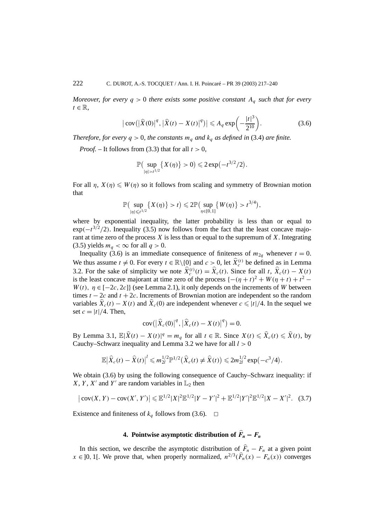*Moreover, for every*  $q > 0$  *there exists some positive constant*  $A_q$  *such that for every*  $t \in \mathbb{R}$ .

$$
|\text{cov}(|\hat{X}(0)|^q, |\hat{X}(t) - X(t)|^q)| \le A_q \exp\left(-\frac{|t|^3}{2^{10}}\right).
$$
 (3.6)

*Therefore, for every*  $q > 0$ *, the constants*  $m_q$  *and*  $k_q$  *as defined in* (3.4) *are finite.* 

*Proof.* – It follows from (3.3) that for all  $t > 0$ ,

$$
\mathbb{P}\big(\sup_{|\eta|>t^{1/2}}\{X(\eta)\}>0\big)\leq 2\exp(-t^{3/2}/2).
$$

For all  $\eta$ ,  $X(\eta) \leq W(\eta)$  so it follows from scaling and symmetry of Brownian motion that

$$
\mathbb{P}\big(\sup_{|\eta|\leq t^{1/2}}\big\{X(\eta)\big\}>t\big)\leqslant 2\mathbb{P}\big(\sup_{\eta\in[0,1]}\big\{W(\eta)\big\}>t^{3/4}\big),
$$

where by exponential inequality, the latter probability is less than or equal to  $\exp(-t^{3/2}/2)$ . Inequality (3.5) now follows from the fact that the least concave majorant at time zero of the process *X* is less than or equal to the supremum of *X*. Integrating (3.5) yields  $m_q < \infty$  for all  $q > 0$ .

Inequality (3.6) is an immediate consequence of finiteness of  $m_{2q}$  whenever  $t = 0$ . We thus assume  $t \neq 0$ . For every  $t \in \mathbb{R} \setminus \{0\}$  and  $c > 0$ , let  $\hat{X}_c^{(t)}$  be defined as in Lemma 3.2. For the sake of simplicity we note  $\hat{X}_c^{(t)}(t) = \hat{X}_c(t)$ . Since for all *t*,  $\hat{X}_c(t) - X(t)$ is the least concave majorant at time zero of the process  $\{-(\eta + t)^2 + W(\eta + t) + t^2 W(t)$ ,  $\eta \in [-2c, 2c]$  (see Lemma 2.1), it only depends on the increments of *W* between times  $t - 2c$  and  $t + 2c$ . Increments of Brownian motion are independent so the random variables  $\hat{X}_c(t) - X(t)$  and  $\hat{X}_c(0)$  are independent whenever  $c \le |t|/4$ . In the sequel we set  $c = |t|/4$ . Then,

$$
cov(|\hat{X}_c(0)|^q, |\hat{X}_c(t) - X(t)|^q) = 0.
$$

By Lemma 3.1,  $\mathbb{E}|\hat{X}(t) - X(t)|^q = m_q$  for all  $t \in \mathbb{R}$ . Since  $X(t) \leq \hat{X}_c(t) \leq \hat{X}(t)$ , by Cauchy–Schwarz inequality and Lemma 3.2 we have for all *l >* 0

$$
\mathbb{E}|\widehat{X}_c(t) - \widehat{X}(t)|^l \leq m_{2l}^{1/2} \mathbb{P}^{1/2}(\widehat{X}_c(t) \neq \widehat{X}(t)) \leq 2m_{2l}^{1/2} \exp(-c^3/4).
$$

We obtain (3.6) by using the following consequence of Cauchy–Schwarz inequality: if *X*, *Y*, *X'* and *Y'* are random variables in  $\mathbb{L}_2$  then

$$
|\operatorname{cov}(X, Y) - \operatorname{cov}(X', Y')| \leq \mathbb{E}^{1/2} |X|^2 \mathbb{E}^{1/2} |Y - Y'|^2 + \mathbb{E}^{1/2} |Y'|^2 \mathbb{E}^{1/2} |X - X'|^2. \tag{3.7}
$$

Existence and finiteness of  $k_q$  follows from (3.6).  $\Box$ 

### **4.** Pointwise asymptotic distribution of  $F_n - F_n$

In this section, we describe the asymptotic distribution of  $\hat{F}_n - F_n$  at a given point *x* ∈ ]0, 1[. We prove that, when properly normalized,  $n^{2/3}(\widehat{F}_n(x) - F_n(x))$  converges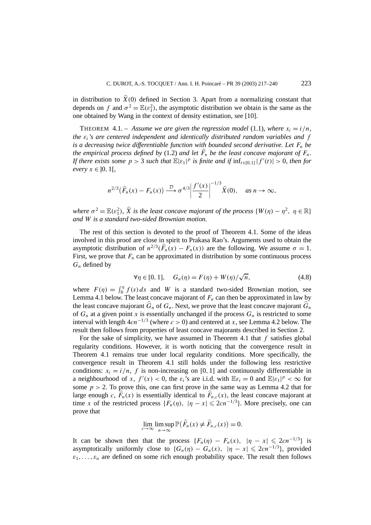in distribution to  $\hat{X}(0)$  defined in Section 3. Apart from a normalizing constant that depends on *f* and  $\sigma^2 = \mathbb{E}(\varepsilon_1^2)$ , the asymptotic distribution we obtain is the same as the one obtained by Wang in the context of density estimation, see [10].

THEOREM 4.1. – Assume we are given the regression model (1.1), where  $x_i = i/n$ , *the εi's are centered independent and identically distributed random variables and f is a decreasing twice differentiable function with bounded second derivative. Let*  $F_n$  *be the empirical process defined by* (1.2) *and let*  $F_n$  *be the least concave majorant of*  $F_n$ . *If there exists some*  $p > 3$  *such that*  $\mathbb{E}|\varepsilon_1|^p$  *is finite and if*  $\inf_{t \in [0,1]} |f'(t)| > 0$ , then for *every*  $x \in [0, 1]$ ,

$$
n^{2/3}\big(\widehat{F}_n(x)-F_n(x)\big)\stackrel{\mathcal{D}}{\longrightarrow}\sigma^{4/3}\bigg|\frac{f'(x)}{2}\bigg|^{-1/3}\widehat{X}(0),\quad as\ n\to\infty,
$$

*where*  $\sigma^2 = \mathbb{E}(\varepsilon_1^2)$ ,  $\widehat{X}$  *is the least concave majorant of the process*  $\{W(\eta) - \eta^2, \ \eta \in \mathbb{R}\}\$ *and W is a standard two-sided Brownian motion.*

The rest of this section is devoted to the proof of Theorem 4.1. Some of the ideas involved in this proof are close in spirit to Prakasa Rao's. Arguments used to obtain the asymptotic distribution of  $n^{2/3}(\widehat{F}_n(x) - F_n(x))$  are the following. We assume  $\sigma = 1$ . First, we prove that  $F_n$  can be approximated in distribution by some continuous process *Gn* defined by

$$
\forall \eta \in [0, 1], \quad G_n(\eta) = F(\eta) + W(\eta) / \sqrt{n}, \tag{4.8}
$$

where  $F(\eta) = \int_0^{\eta} f(s) ds$  and *W* is a standard two-sided Brownian motion, see Lemma 4.1 below. The least concave majorant of  $F_n$  can then be approximated in law by the least concave majorant  $\hat{G}_n$  of  $G_n$ . Next, we prove that the least concave majorant  $\hat{G}_n$ of  $G_n$  at a given point *x* is essentially unchanged if the process  $G_n$  is restricted to some interval with length  $4cn^{-1/3}$  (where  $c > 0$ ) and centered at *x*, see Lemma 4.2 below. The result then follows from properties of least concave majorants described in Section 2.

For the sake of simplicity, we have assumed in Theorem 4.1 that *f* satisfies global regularity conditions. However, it is worth noticing that the convergence result in Theorem 4.1 remains true under local regularity conditions. More specifically, the convergence result in Theorem 4.1 still holds under the following less restrictive conditions:  $x_i = i/n$ , *f* is non-increasing on [0, 1] and continuously differentiable in a neighbourhood of *x*,  $f'(x) < 0$ , the  $\varepsilon_i$ 's are i.i.d. with  $\mathbb{E}\varepsilon_i = 0$  and  $\mathbb{E}|\varepsilon_1|^p < \infty$  for some  $p > 2$ . To prove this, one can first prove in the same way as Lemma 4.2 that for large enough *c*,  $F_n(x)$  is essentially identical to  $F_{n,c}(x)$ , the least concave majorant at time *x* of the restricted process  $\{F_n(\eta), |\eta - x| \leqslant 2cn^{-1/3}\}\)$ . More precisely, one can prove that

$$
\lim_{c \to \infty} \limsup_{n \to \infty} \mathbb{P}\big(\widehat{F}_n(x) \neq \widehat{F}_{n,c}(x)\big) = 0.
$$

It can be shown then that the process  $\{F_n(\eta) - F_n(x), |\eta - x| \leq 2cn^{-1/3}\}\)$  is asymptotically uniformly close to  ${G_n(\eta) - G_n(x), |\eta - x| \leqslant 2cn^{-1/3}}$ , provided  $\varepsilon_1, \ldots, \varepsilon_n$  are defined on some rich enough probability space. The result then follows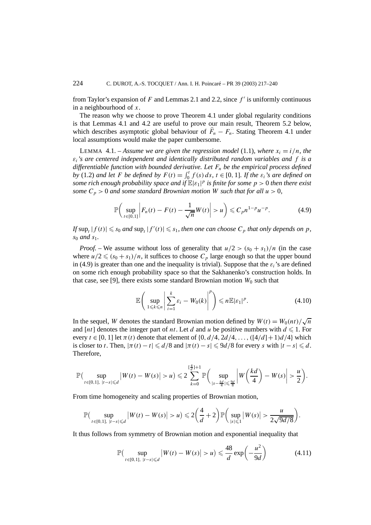from Taylor's expansion of  $F$  and Lemmas 2.1 and 2.2, since  $f'$  is uniformly continuous in a neighbourhood of *x*.

The reason why we choose to prove Theorem 4.1 under global regularity conditions is that Lemmas 4.1 and 4.2 are useful to prove our main result, Theorem 5.2 below, which describes asymptotic global behaviour of  $\hat{F}_n - F_n$ . Stating Theorem 4.1 under local assumptions would make the paper cumbersome.

LEMMA 4.1. – *Assume we are given the regression model* (1.1)*, where*  $x_i = i/n$ *, the εi's are centered independent and identically distributed random variables and f is a differentiable function with bounded derivative. Let Fn be the empirical process defined by* (1.2) *and let F be defined by*  $F(t) = \int_0^t f(s) ds$ ,  $t \in [0, 1]$ *. If the*  $\varepsilon_i$ *'s are defined on some rich enough probability space and if* E|*ε*1| *<sup>p</sup> is finite for some p >* 0 *then there exist some*  $C_p$  > 0 *and some standard Brownian motion W such that for all*  $u$  > 0*,* 

$$
\mathbb{P}\bigg(\sup_{t\in[0,1]} \bigg| F_n(t) - F(t) - \frac{1}{\sqrt{n}} W(t) \bigg| > u\bigg) \leq C_p n^{1-p} u^{-p}.\tag{4.9}
$$

*If*  $\sup_t |f(t)| \le s_0$  *and*  $\sup_t |f'(t)| \le s_1$ *, then one can choose*  $C_p$  *that only depends on*  $p$ *, s*<sup>0</sup> *and s*1*.*

*Proof.* – We assume without loss of generality that  $u/2 > (s_0 + s_1)/n$  (in the case where  $u/2 \leq (s_0 + s_1)/n$ , it suffices to choose  $C_p$  large enough so that the upper bound in (4.9) is greater than one and the inequality is trivial). Suppose that the  $\varepsilon_i$ 's are defined on some rich enough probability space so that the Sakhanenko's construction holds. In that case, see [9], there exists some standard Brownian motion  $W_0$  such that

$$
\mathbb{E}\left(\sup_{1\leq k\leq n}\left|\sum_{i=1}^{k}\varepsilon_{i}-W_{0}(k)\right|^{p}\right)\leq n\mathbb{E}|\varepsilon_{1}|^{p}.
$$
\n(4.10)

In the sequel, *W* denotes the standard Brownian motion defined by  $W(t) = W_0(nt)/\sqrt{n}$ and  $[nt]$  denotes the integer part of *nt*. Let *d* and *u* be positive numbers with  $d \le 1$ . For every  $t \in [0, 1]$  let  $\pi(t)$  denote that element of  $\{0, d/4, 2d/4, \ldots, \left(\frac{4}{d}\right) + 1}d/4\}$  which is closer to *t*. Then,  $|\pi(t) - t| \le d/8$  and  $|\pi(t) - s| \le 9d/8$  for every *s* with  $|t - s| \le d$ . Therefore,

$$
\mathbb{P}\big(\sup_{t\in[0,1],\;|t-s|\leq d}\big|W(t)-W(s)\big|>u\big)\leqslant 2\sum_{k=0}^{\lfloor\frac{d}{d}\rfloor+1}\mathbb{P}\bigg(\sup_{|s-\frac{k d}{4}|\leqslant\frac{9d}{8}}\bigg|W\bigg(\frac{kd}{4}\bigg)-W(s)\bigg|>\frac{u}{2}\bigg).
$$

From time homogeneity and scaling properties of Brownian motion,

$$
\mathbb{P}\big(\sup_{t\in[0,1],\;|t-s|\leq d}\big|W(t)-W(s)\big|>u\big)\leqslant 2\bigg(\frac{4}{d}+2\bigg)\mathbb{P}\bigg(\sup_{|s|\leqslant 1}\big|W(s)\big|>\frac{u}{2\sqrt{9d/8}}\bigg).
$$

It thus follows from symmetry of Brownian motion and exponential inequality that

$$
\mathbb{P}\left(\sup_{t\in[0,1],\;|t-s|\leq d}|W(t)-W(s)|>u\right)\leq \frac{48}{d}\exp\left(-\frac{u^2}{9d}\right) \tag{4.11}
$$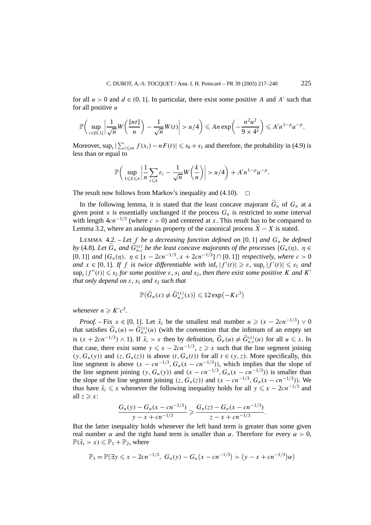for all  $u > 0$  and  $d \in (0, 1]$ . In particular, there exist some positive *A* and *A'* such that for all positive *u*

$$
\mathbb{P}\bigg(\sup_{t\in[0,1]}\bigg|\frac{1}{\sqrt{n}}W\bigg(\frac{[nt]}{n}\bigg)-\frac{1}{\sqrt{n}}W(t)\bigg|>u/4\bigg)\leqslant An\exp\bigg(-\frac{n^2u^2}{9\times 4^2}\bigg)\leqslant A'n^{1-p}u^{-p}.
$$

Moreover,  $\sup_t |\sum_{i \leq nt} f(x_i) - nF(t)| \leq s_0 + s_1$  and therefore, the probability in (4.9) is less than or equal to

$$
\mathbb{P}\bigg(\sup_{1\leq k\leq n}\bigg|\frac{1}{n}\sum_{i\leq k}\varepsilon_i-\frac{1}{\sqrt{n}}W\bigg(\frac{k}{n}\bigg)\bigg|>u/4\bigg)+A'n^{1-p}u^{-p}.
$$

The result now follows from Markov's inequality and  $(4.10)$ .

In the following lemma, it is stated that the least concave majorant  $\hat{G}_n$  of  $G_n$  at a given point *x* is essentially unchanged if the process  $G_n$  is restricted to some interval with length  $4cn^{-1/3}$  (where  $c > 0$ ) and centered at *x*. This result has to be compared to Lemma 3.2, where an analogous property of the canonical process  $\ddot{X} - X$  is stated.

LEMMA 4.2. – Let f be a decreasing function defined on [0, 1] and  $G_n$  be defined *by* (4.8). Let  $\widehat{G}_n$  and  $\widehat{G}_{n,c}^{(x)}$  be the least concave majorants of the processes  $\{G_n(\eta), \eta \in$ [0*,* 1]} *and* {*Gn(η), η* ∈ [*x* − 2*cn*<sup>−</sup>1*/*<sup>3</sup>*, x* + 2*cn*<sup>−</sup>1*/*<sup>3</sup>]∩[0*,* 1]} *respectively, where c >* 0 *and*  $x \in [0, 1]$ *. If f is twice differentiable with*  $\inf_t |f'(t)| \geq \varepsilon$ *,*  $\sup_t |f'(t)| \leq s_1$  *and*  $\sup_t |f''(t)| \leq s_2$  *for some positive*  $\varepsilon$ *,*  $s_1$  *and*  $s_2$ *, then there exist some positive K and K*<sup>*'*</sup> *that only depend on*  $\varepsilon$ ,  $s_1$  *and*  $s_2$  *such that* 

$$
\mathbb{P}(\widehat{G}_n(x) \neq \widehat{G}_{n,c}^{(x)}(x)) \leq 12 \exp(-Kc^3)
$$

*whenever*  $n \geqslant K'c^3$ .

*Proof.* – Fix  $x \in [0, 1]$ . Let  $\tilde{x}_i$  be the smallest real number  $u \geq (x - 2cn^{-1/3}) \vee 0$ that satisfies  $\hat{G}_n(u) = \hat{G}_{n,c}^{(x)}(u)$  (with the convention that the infimum of an empty set is  $(x + 2cn^{-1/3}) \wedge 1$ . If  $\tilde{x}_i > x$  then by definition,  $\hat{G}_n(u) \neq \hat{G}_{n,c}^{(x)}(u)$  for all  $u \leq x$ . In that case, there exist some  $y \le x - 2cn^{-1/3}$ ,  $z \ge x$  such that the line segment joining  $(y, G_n(y))$  and  $(z, G_n(z))$  is above  $(t, G_n(t))$  for all  $t \in (y, z)$ . More specifically, this line segment is above  $(x - cn^{-1/3}, G_n(x - cn^{-1/3}))$ , which implies that the slope of the line segment joining  $(y, G_n(y))$  and  $(x - cn^{-1/3}, G_n(x - cn^{-1/3}))$  is smaller than the slope of the line segment joining  $(z, G_n(z))$  and  $(x - cn^{-1/3}, G_n(x - cn^{-1/3}))$ . We thus have  $\tilde{x}_i \leq x$  whenever the following inequality holds for all  $y \leq x - 2cn^{-1/3}$  and all  $z \geqslant x$ :

$$
\frac{G_n(y) - G_n(x - cn^{-1/3})}{y - x + cn^{-1/3}} \ge \frac{G_n(z) - G_n(x - cn^{-1/3})}{z - x + cn^{-1/3}}.
$$

But the latter inequality holds whenever the left hand term is greater than some given real number *α* and the right hand term is smaller than *α*. Therefore for every *α >* 0,  $\mathbb{P}(\tilde{x}_i > x) \leq \mathbb{P}_1 + \mathbb{P}_2$ , where

$$
\mathbb{P}_1 = \mathbb{P}(\exists y \leq x - 2cn^{-1/3}, G_n(y) - G_n(x - cn^{-1/3}) > (y - x + cn^{-1/3})\alpha)
$$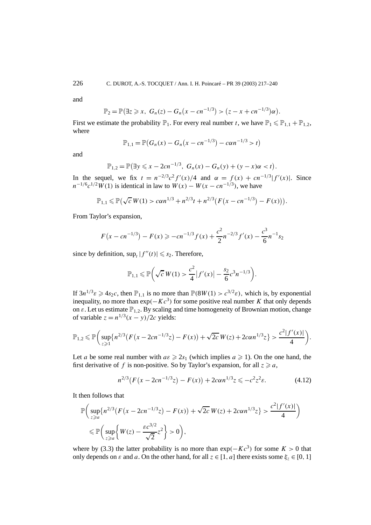and

$$
\mathbb{P}_2 = \mathbb{P}(\exists z \geq x, \ G_n(z) - G_n(x - cn^{-1/3}) > (z - x + cn^{-1/3})\alpha).
$$

First we estimate the probability  $\mathbb{P}_1$ . For every real number *t*, we have  $\mathbb{P}_1 \leq \mathbb{P}_{1,1} + \mathbb{P}_{1,2}$ , where

$$
\mathbb{P}_{1,1} = \mathbb{P}(G_n(x) - G_n(x - cn^{-1/3}) - c\alpha n^{-1/3} > t)
$$

and

$$
\mathbb{P}_{1,2} = \mathbb{P}(\exists y \leq x - 2cn^{-1/3}, G_n(x) - G_n(y) + (y - x)\alpha < t).
$$

In the sequel, we fix  $t = n^{-2/3}c^2f'(x)/4$  and  $\alpha = f(x) + cn^{-1/3}|f'(x)|$ . Since  $n^{-1/6}c^{1/2}W(1)$  is identical in law to  $W(x) - W(x - cn^{-1/3})$ , we have

$$
\mathbb{P}_{1,1} \leq \mathbb{P}(\sqrt{c} W(1) > c \alpha n^{1/3} + n^{2/3} t + n^{2/3} (F(x - c n^{-1/3}) - F(x))).
$$

From Taylor's expansion,

$$
F(x - cn^{-1/3}) - F(x) \ge -cn^{-1/3}f(x) + \frac{c^2}{2}n^{-2/3}f'(x) - \frac{c^3}{6}n^{-1}s_2
$$

since by definition,  $\sup_t |f''(t)| \leq s_2$ . Therefore,

$$
\mathbb{P}_{1,1} \leq \mathbb{P}\bigg(\sqrt{c}\,W(1) > \frac{c^2}{4}\big|f'(x)\big| - \frac{s_2}{6}c^3n^{-1/3}\bigg).
$$

If  $3n^{1/3}\epsilon \ge 4s_2c$ , then  $\mathbb{P}_{1,1}$  is no more than  $\mathbb{P}(8W(1) > c^{3/2}\epsilon)$ , which is, by exponential inequality, no more than  $exp(-Kc^3)$  for some positive real number *K* that only depends on  $\varepsilon$ . Let us estimate  $\mathbb{P}_{1,2}$ . By scaling and time homogeneity of Brownian motion, change of variable  $z = n^{1/3}(x - y)/2c$  yields:

$$
\mathbb{P}_{1,2} \leq \mathbb{P}\bigg(\sup_{z\geqslant 1}\big\{n^{2/3}\big(F\big(x-2cn^{-1/3}z\big)-F(x)\big)+\sqrt{2c}\,W(z)+2c\alpha n^{1/3}z\big\}>\frac{c^2|f'(x)|}{4}\bigg).
$$

Let *a* be some real number with  $a\epsilon \geq 2s_1$  (which implies  $a \geq 1$ ). On the one hand, the first derivative of f is non-positive. So by Taylor's expansion, for all  $z \ge a$ ,

$$
n^{2/3}(F(x - 2cn^{-1/3}z) - F(x)) + 2can^{1/3}z \leq -c^2z^2\varepsilon.
$$
 (4.12)

It then follows that

$$
\mathbb{P}\bigg(\sup_{z\geq a} \{n^{2/3}(F(x - 2cn^{-1/3}z) - F(x)) + \sqrt{2c} W(z) + 2cn^{1/3}z\} > \frac{c^2|f'(x)|}{4}\bigg) \leq \mathbb{P}\bigg(\sup_{z\geq a} \{W(z) - \frac{\varepsilon c^{3/2}}{\sqrt{2}}z^2\} > 0\bigg),
$$

where by (3.3) the latter probability is no more than  $exp(-Kc^3)$  for some  $K > 0$  that only depends on  $\varepsilon$  and  $a$ . On the other hand, for all  $z \in [1, a]$  there exists some  $\xi_z \in [0, 1]$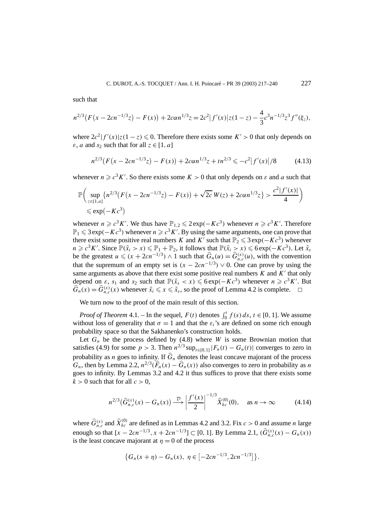such that

$$
n^{2/3}(F(x-2cn^{-1/3}z)-F(x))+2can^{1/3}z=2c^2|f'(x)|z(1-z)-\frac{4}{3}c^3n^{-1/3}z^3f''(\xi_z),
$$

where  $2c^2|f'(x)|z(1-z) \le 0$ . Therefore there exists some  $K' > 0$  that only depends on *ε*, *a* and *s*<sub>2</sub> such that for all  $z \in [1, a]$ 

$$
n^{2/3}(F(x - 2cn^{-1/3}z) - F(x)) + 2can^{1/3}z + tn^{2/3} \leq -c^2|f'(x)|/8 \tag{4.13}
$$

whenever  $n \ge c^3 K'$ . So there exists some  $K > 0$  that only depends on  $\varepsilon$  and  $a$  such that

$$
\mathbb{P}\bigg(\sup_{z\in[1,a]} \{n^{2/3}(F(x-2cn^{-1/3}z)-F(x))+\sqrt{2c}\,W(z)+2can^{1/3}z\} > \frac{c^2|f'(x)|}{4}\bigg) \leq \exp(-Kc^3)
$$

whenever  $n \ge c^3 K'$ . We thus have  $\mathbb{P}_{1,2} \le 2 \exp(-Kc^3)$  whenever  $n \ge c^3 K'$ . Therefore  $\mathbb{P}_1 \leq 3 \exp(-Kc^3)$  whenever  $n \geq c^3 K'$ . By using the same arguments, one can prove that there exist some positive real numbers *K* and *K'* such that  $\mathbb{P}_2 \le 3 \exp(-Kc^3)$  whenever  $n \geq c^3 K'$ . Since  $\mathbb{P}(\tilde{x}_i > x) \leq \mathbb{P}_1 + \mathbb{P}_2$ , it follows that  $\mathbb{P}(\tilde{x}_i > x) \leq 6 \exp(-Kc^3)$ . Let  $\tilde{x}_s$ be the greatest  $u \le (x + 2cn^{-1/3}) \wedge 1$  such that  $\hat{G}_n(u) = \hat{G}_{n,c}^{(x)}(u)$ , with the convention that the supremum of an empty set is  $(x - 2cn^{-1/3}) \vee 0$ . One can prove by using the same arguments as above that there exist some positive real numbers  $K$  and  $K'$  that only depend on  $\varepsilon$ ,  $s_1$  and  $s_2$  such that  $\mathbb{P}(\tilde{x}_s < x) \leqslant 6 \exp(-Kc^3)$  whenever  $n \geqslant c^3 K'$ . But  $\widehat{G}_n(x) = \widehat{G}_{n,c}^{(x)}(x)$  whenever  $\tilde{x}_i \le x \le \tilde{x}_s$ , so the proof of Lemma 4.2 is complete.  $\Box$ 

We turn now to the proof of the main result of this section.

*Proof of Theorem* 4.1. – In the sequel,  $F(t)$  denotes  $\int_0^t f(s) ds$ ,  $t \in [0, 1]$ . We assume without loss of generality that  $\sigma = 1$  and that the  $\varepsilon_i$ 's are defined on some rich enough probability space so that the Sakhanenko's construction holds.

Let  $G_n$  be the process defined by  $(4.8)$  where *W* is some Brownian motion that satisfies (4.9) for some  $p > 3$ . Then  $n^{2/3} \sup_{t \in [0,1]} |F_n(t) - G_n(t)|$  converges to zero in probability as *n* goes to infinity. If  $\hat{G}_n$  denotes the least concave majorant of the process *G<sub>n</sub>*, then by Lemma 2.2,  $n^{2/3}(\widehat{F}_n(x) - \widehat{G}_n(x))$  also converges to zero in probability as *n* goes to infinity. By Lemmas 3.2 and 4.2 it thus suffices to prove that there exists some  $k > 0$  such that for all  $c > 0$ ,

$$
n^{2/3}(\hat{G}_{n,c}^{(x)}(x) - G_n(x)) \xrightarrow{\mathcal{D}} \left| \frac{f'(x)}{2} \right|^{-1/3} \hat{X}_{kc}^{(0)}(0), \quad \text{as } n \to \infty \tag{4.14}
$$

where  $\hat{G}_{n,c}^{(x)}$  and  $\hat{X}_{kc}^{(0)}$  are defined as in Lemmas 4.2 and 3.2. Fix  $c > 0$  and assume *n* large enough so that  $[x - 2cn^{-1/3}, x + 2cn^{-1/3}] \subset [0, 1]$ . By Lemma 2.1,  $(\widehat{G}_{n,c}^{(x)}(x) - G_n(x))$ is the least concave majorant at  $\eta = 0$  of the process

$$
\{G_n(x+\eta)-G_n(x),\ \eta\in[-2cn^{-1/3},2cn^{-1/3}]\}.
$$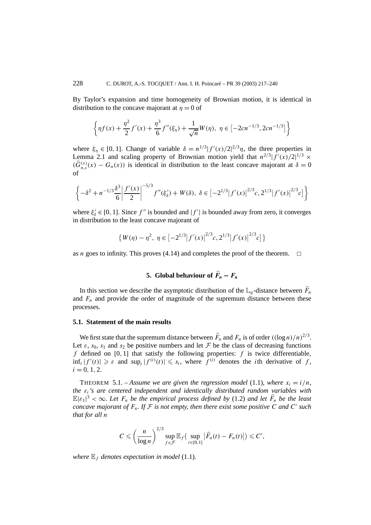By Taylor's expansion and time homogeneity of Brownian motion, it is identical in distribution to the concave majorant at  $\eta = 0$  of

$$
\left\{\eta f(x) + \frac{\eta^2}{2}f'(x) + \frac{\eta^3}{6}f''(\xi_\eta) + \frac{1}{\sqrt{n}}W(\eta), \ \eta \in \left[-2cn^{-1/3}, 2cn^{-1/3}\right]\right\}
$$

where  $\xi_{\eta} \in [0, 1]$ . Change of variable  $\delta = n^{1/3} |f'(x)/2|^{2/3}\eta$ , the three properties in Lemma 2.1 and scaling property of Brownian motion yield that  $n^{2/3}|f'(x)/2|^{1/3} \times$  $(\widehat{G}_{n,c}^{(x)}(x) - G_n(x))$  is identical in distribution to the least concave majorant at  $\delta = 0$ of

$$
\left\{-\delta^2 + n^{-1/3}\frac{\delta^3}{6} \left| \frac{f'(x)}{2} \right|^{-5/3} f''(\xi_\delta') + W(\delta), \ \delta \in \left[-2^{1/3} |f'(x)|^{2/3} c, 2^{1/3} |f'(x)|^{2/3} c\right] \right\}
$$

where  $\xi'_{\delta} \in [0, 1]$ . Since  $f''$  is bounded and  $|f'|$  is bounded away from zero, it converges in distribution to the least concave majorant of

$$
\{W(\eta) - \eta^2, \ \eta \in \left[-2^{1/3} |f'(x)|^{2/3} c, 2^{1/3} |f'(x)|^{2/3} c\right]\}
$$

as *n* goes to infinity. This proves (4.14) and completes the proof of the theorem.  $\Box$ 

## **5.** Global behaviour of  $\widehat{F}_n - F_n$

In this section we describe the asymptotic distribution of the  $\mathbb{L}_q$ -distance between  $\widehat{F}_n$ and  $F_n$  and provide the order of magnitude of the supremum distance between these processes.

### **5.1. Statement of the main results**

We first state that the supremum distance between  $\widehat{F}_n$  and  $F_n$  is of order  $((\log n)/n)^{2/3}$ . Let  $\varepsilon$ ,  $s_0$ ,  $s_1$  and  $s_2$  be positive numbers and let  $\mathcal F$  be the class of decreasing functions *f* defined on [0*,* 1] that satisfy the following properties: *f* is twice differentiable,  $\inf_t |f'(t)| \geq \varepsilon$  and  $\sup_t |f^{(i)}(t)| \leq s_i$ , where  $f^{(i)}$  denotes the *i*th derivative of *f*,  $i = 0, 1, 2.$ 

THEOREM 5.1. – Assume we are given the regression model (1.1), where  $x_i = i/n$ , *the εi's are centered independent and identically distributed random variables with*  $\mathbb{E}|\varepsilon_1|^3 < \infty$ . Let  $F_n$  be the empirical process defined by (1.2) and let  $\widehat{F}_n$  be the least *concave majorant of*  $F_n$ . If  $F$  *is not empty, then there exist some positive*  $C$  *and*  $C'$  *such that for all n*

$$
C \leqslant \left(\frac{n}{\log n}\right)^{2/3} \sup_{f \in \mathcal{F}} \mathbb{E}_f\left(\sup_{t \in [0,1]} \left|\widehat{F}_n(t) - F_n(t)\right|\right) \leqslant C',
$$

*where*  $\mathbb{E}_f$  *denotes expectation in model* (1.1)*.*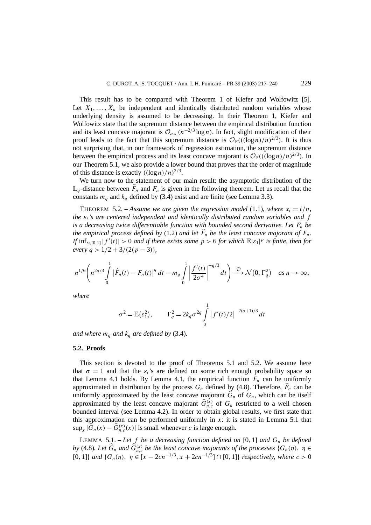This result has to be compared with Theorem 1 of Kiefer and Wolfowitz [5]. Let  $X_1, \ldots, X_n$  be independent and identically distributed random variables whose underlying density is assumed to be decreasing. In their Theorem 1, Kiefer and Wolfowitz state that the supremum distance between the empirical distribution function and its least concave majorant is  $\mathcal{O}_{a.s.}(n^{-2/3} \log n)$ . In fact, slight modification of their proof leads to the fact that this supremum distance is  $\mathcal{O}_{\mathbb{P}}(((\log n)/n)^{2/3})$ . It is thus not surprising that, in our framework of regression estimation, the supremum distance between the empirical process and its least concave majorant is  $\mathcal{O}_P((\log n)/n)^{2/3}$ . In our Theorem 5.1, we also provide a lower bound that proves that the order of magnitude of this distance is exactly  $((\log n)/n)^{2/3}$ .

We turn now to the statement of our main result: the asymptotic distribution of the  $\mathbb{L}_q$ -distance between  $\widehat{F}_n$  and  $F_n$  is given in the following theorem. Let us recall that the constants  $m_q$  and  $k_q$  defined by (3.4) exist and are finite (see Lemma 3.3).

THEOREM 5.2. – Assume we are given the regression model (1.1), where  $x_i = i/n$ , *the εi's are centered independent and identically distributed random variables and f is a decreasing twice differentiable function with bounded second derivative. Let*  $F_n$  *be the empirical process defined by* (1.2) *and let*  $F_n$  *be the least concave majorant of*  $F_n$ . *If*  $\inf_{t \in [0,1]} |f'(t)| > 0$  *and if there exists some*  $p > 6$  *for which*  $\mathbb{E}|\varepsilon_1|^p$  *is finite, then for*  $e^{i\varphi}$  *g* > 1/2 + 3/(2*(p* − 3))*,* 

$$
n^{1/6}\left(n^{2q/3}\int\limits_{0}^{1}\left|\widehat{F}_n(t)-F_n(t)\right|^qdt-m_q\int\limits_{0}^{1}\left|\frac{f'(t)}{2\sigma^4}\right|^{-q/3}dt\right)\stackrel{\mathcal{D}}{\longrightarrow}\mathcal{N}\left(0,\Gamma_q^2\right)\quad\text{as }n\to\infty,
$$

*where*

$$
\sigma^2 = \mathbb{E}(\varepsilon_1^2), \qquad \Gamma_q^2 = 2k_q \sigma^{2q} \int_0^1 |f'(t)/2|^{-2(q+1)/3} dt
$$

*and where*  $m_q$  *and*  $k_q$  *are defined by* (3.4)*.* 

### **5.2. Proofs**

This section is devoted to the proof of Theorems 5.1 and 5.2. We assume here that  $\sigma = 1$  and that the  $\varepsilon_i$ 's are defined on some rich enough probability space so that Lemma 4.1 holds. By Lemma 4.1, the empirical function  $F_n$  can be uniformly approximated in distribution by the process  $G_n$  defined by (4.8). Therefore,  $F_n$  can be uniformly approximated by the least concave majorant  $\hat{G}_n$  of  $G_n$ , which can be itself approximated by the least concave majorant  $\hat{G}_{n,c}^{(x)}$  of  $G_n$  restricted to a well chosen bounded interval (see Lemma 4.2). In order to obtain global results, we first state that this approximation can be performed uniformly in  $x$ : it is stated in Lemma 5.1 that  $\sup_x |\widehat{G}_n(x) - \widehat{G}_{n,c}^{(x)}(x)|$  is small whenever *c* is large enough.

LEMMA 5.1. – Let f be a decreasing function defined on [0, 1] and  $G_n$  be defined *by* (4.8). Let  $\widehat{G}_n$  and  $\widehat{G}_{n,c}^{(x)}$  be the least concave majorants of the processes  $\{G_n(\eta), \eta \in$ [0, 1]} *and* { $G_n(\eta)$ ,  $\eta$  ∈ [ $x - 2cn^{-1/3}$ ,  $x + 2cn^{-1/3}$ ]∩[0, 1]} *respectively, where*  $c > 0$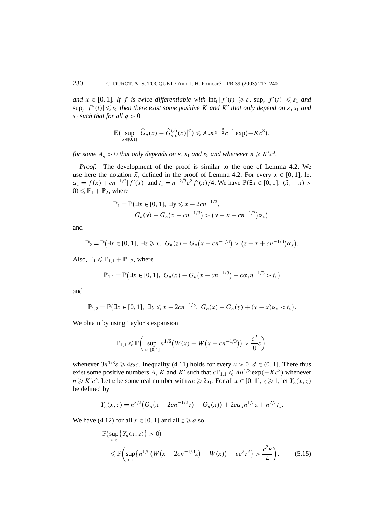*and*  $x \in [0, 1]$ *. If f is twice differentiable with*  $\inf_t |f'(t)| \geq \varepsilon$ *,*  $\sup_t |f'(t)| \leq s_1$  *and*  $\sup_t |f''(t)| \leq s_2$  *then there exist some positive K and K' that only depend on*  $\varepsilon$ *,*  $s_1$  *and s*<sup>2</sup> *such that for all*  $q > 0$ 

$$
\mathbb{E}\big(\sup_{x\in[0,1]}\big|\widehat{G}_n(x)-\widehat{G}_{n,c}^{(x)}(x)\big|^q\big)\leqslant A_q n^{\frac{1}{3}-\frac{q}{2}}c^{-1}\exp(-Kc^3),
$$

*for some*  $A_q > 0$  *that only depends on*  $\varepsilon$ ,  $s_1$  *and*  $s_2$  *and whenever*  $n \geq K'c^3$ .

*Proof. –* The development of the proof is similar to the one of Lemma 4.2. We use here the notation  $\tilde{x}_i$  defined in the proof of Lemma 4.2. For every  $x \in [0, 1]$ , let  $\alpha_x = f(x) + cn^{-1/3}|f'(x)|$  and  $t_x = n^{-2/3}c^2 f'(x)/4$ . We have  $\mathbb{P}(\exists x \in [0, 1], (\tilde{x}_i - x) >$  $0 \leq P_1 + P_2$ , where

$$
\mathbb{P}_1 = \mathbb{P}(\exists x \in [0, 1], \exists y \leq x - 2cn^{-1/3},
$$
  
\n
$$
G_n(y) - G_n(x - cn^{-1/3}) > (y - x + cn^{-1/3})\alpha_x)
$$

and

$$
\mathbb{P}_2 = \mathbb{P}(\exists x \in [0, 1], \exists z \geq x, \ G_n(z) - G_n(x - c n^{-1/3}) > (z - x + c n^{-1/3}) \alpha_x).
$$

Also,  $\mathbb{P}_1 \leqslant \mathbb{P}_{1,1} + \mathbb{P}_{1,2}$ , where

$$
\mathbb{P}_{1,1} = \mathbb{P}(\exists x \in [0,1], G_n(x) - G_n(x - cn^{-1/3}) - c\alpha_x n^{-1/3} > t_x)
$$

and

$$
\mathbb{P}_{1,2} = \mathbb{P}(\exists x \in [0,1], \exists y \leq x - 2cn^{-1/3}, G_n(x) - G_n(y) + (y-x)\alpha_x < t_x).
$$

We obtain by using Taylor's expansion

$$
\mathbb{P}_{1,1} \leq \mathbb{P}\bigg(\sup_{x \in [0,1]} n^{1/6} \big(W(x) - W\big(x - c n^{-1/3}\big)\big) > \frac{c^2}{8}\varepsilon\bigg),
$$

whenever  $3n^{1/3}\epsilon \geq 4s_2c$ . Inequality (4.11) holds for every  $u > 0$ ,  $d \in (0, 1]$ . There thus exist some positive numbers A, K and K' such that  $c\mathbb{P}_{1,1} \leqslant An^{1/3} \exp(-Kc^3)$  whenever  $n \geq K'c^3$ . Let *a* be some real number with  $a\varepsilon \geq 2s_1$ . For all  $x \in [0, 1], z \geq 1$ , let  $Y_n(x, z)$ be defined by

$$
Y_n(x, z) = n^{2/3} (G_n(x - 2cn^{-1/3}z) - G_n(x)) + 2c\alpha_x n^{1/3}z + n^{2/3}t_x.
$$

We have (4.12) for all  $x \in [0, 1]$  and all  $z \ge a$  so

$$
\mathbb{P}\left(\sup_{x,z}\{Y_n(x,z)\}>0\right) \le \mathbb{P}\left(\sup_{x,z}\{n^{1/6}(W(x-2cn^{-1/3}z)-W(x))- \varepsilon c^2 z^2\} > \frac{c^2 \varepsilon}{4}\right),
$$
(5.15)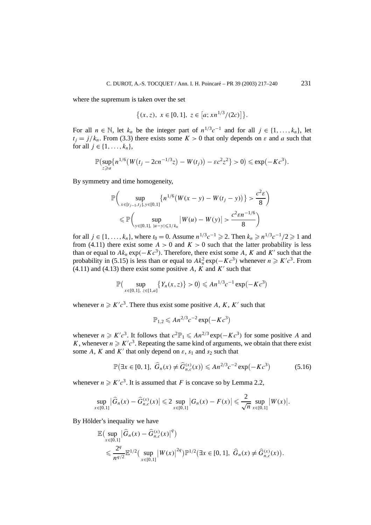where the supremum is taken over the set

$$
\{(x, z), x \in [0, 1], z \in [a; xn^{1/3}/(2c)]\}.
$$

For all  $n \in \mathbb{N}$ , let  $k_n$  be the integer part of  $n^{1/3}c^{-1}$  and for all  $j \in \{1, ..., k_n\}$ , let  $t_i = j/k_n$ . From (3.3) there exists some  $K > 0$  that only depends on  $\varepsilon$  and *a* such that for all  $j \in \{1, ..., k_n\}$ ,

$$
\mathbb{P}\left(\sup_{z\geq a}\{n^{1/6}\big(W(t_j-2cn^{-1/3}z)-W(t_j)\big)-\varepsilon c^2z^2\}>0\right)\leqslant \exp(-Kc^3).
$$

By symmetry and time homogeneity,

$$
\mathbb{P}\bigg(\sup_{x \in [t_{j-1}, t_j], y \in [0,1]} \{n^{1/6} (W(x - y) - W(t_j - y))\} > \frac{c^2 \varepsilon}{8}\bigg)
$$
  
\$\leqslant \mathbb{P}\bigg(\sup\_{y \in [0,1], |u - y| \leqslant 1/k\_n} |W(u) - W(y)| > \frac{c^2 \varepsilon n^{-1/6}}{8}\bigg)\$

for all *j* ∈ {1, ...,  $k_n$ }, where  $t_0 = 0$ . Assume  $n^{1/3}c^{-1} \ge 2$ . Then  $k_n \ge n^{1/3}c^{-1}/2 \ge 1$  and from (4.11) there exist some  $A > 0$  and  $K > 0$  such that the latter probability is less than or equal to  $Ak_n \exp(-Kc^3)$ . Therefore, there exist some *A*, *K* and *K'* such that the probability in (5.15) is less than or equal to  $Ak_n^2 \exp(-Kc^3)$  whenever  $n \ge K'c^3$ . From  $(4.11)$  and  $(4.13)$  there exist some positive *A*, *K* and *K'* such that

$$
\mathbb{P}\big(\sup_{x\in[0,1],\ z\in[1,a]}\big\{Y_n(x,z)\big\}>0\big)\leqslant An^{1/3}c^{-1}\exp\big(-Kc^3\big)
$$

whenever  $n \geq K'c^3$ . There thus exist some positive A, K, K' such that

$$
\mathbb{P}_{1,2} \leqslant An^{2/3}c^{-2}\exp(-Kc^3)
$$

whenever  $n \geq K'c^3$ . It follows that  $c^2\mathbb{P}_1 \leq A n^{2/3} \exp(-Kc^3)$  for some positive *A* and *K*, whenever  $n \ge K'c^3$ . Repeating the same kind of arguments, we obtain that there exist some *A*, *K* and *K'* that only depend on  $\varepsilon$ ,  $s_1$  and  $s_2$  such that

$$
\mathbb{P}(\exists x \in [0, 1], \ \hat{G}_n(x) \neq \hat{G}_{n,c}^{(x)}(x)) \leq A n^{2/3} c^{-2} \exp(-Kc^3)
$$
 (5.16)

whenever  $n \geq K'c^3$ . It is assumed that *F* is concave so by Lemma 2.2,

$$
\sup_{x\in[0,1]}|\widehat{G}_n(x)-\widehat{G}_{n,c}^{(x)}(x)|\leq 2\sup_{x\in[0,1]}|G_n(x)-F(x)|\leq \frac{2}{\sqrt{n}}\sup_{x\in[0,1]}|W(x)|.
$$

By Hölder's inequality we have

$$
\mathbb{E}\left(\sup_{x\in[0,1]}|\hat{G}_n(x) - \hat{G}_{n,c}^{(x)}(x)|^q\right) \n\leq \frac{2^q}{n^{q/2}} \mathbb{E}^{1/2}\left(\sup_{x\in[0,1]} |W(x)|^{2q}\right) \mathbb{P}^{1/2}\left(\exists x \in [0,1], \ \hat{G}_n(x) \neq \hat{G}_{n,c}^{(x)}(x)\right).
$$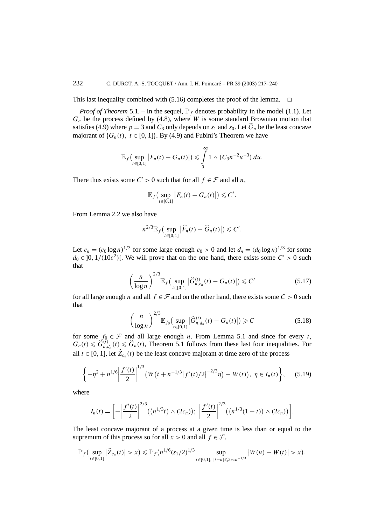This last inequality combined with  $(5.16)$  completes the proof of the lemma.  $\Box$ 

*Proof of Theorem* 5.1. – In the sequel,  $\mathbb{P}_f$  denotes probability in the model (1.1). Let  $G_n$  be the process defined by  $(4.8)$ , where *W* is some standard Brownian motion that satisfies (4.9) where  $p = 3$  and  $C_3$  only depends on  $s_1$  and  $s_0$ . Let  $\hat{G}_n$  be the least concave majorant of  $\{G_n(t), t \in [0, 1]\}$ . By (4.9) and Fubini's Theorem we have

$$
\mathbb{E}_f\big(\sup_{t\in[0,1]}\big|F_n(t)-G_n(t)\big|\big)\leqslant\int\limits_0^\infty1\wedge\big(C_3n^{-2}u^{-3}\big)\,du.
$$

There thus exists some  $C' > 0$  such that for all  $f \in \mathcal{F}$  and all *n*,

$$
\mathbb{E}_f\big(\sup_{t\in[0,1]}\big|F_n(t)-G_n(t)\big|\big)\leqslant C'.
$$

From Lemma 2.2 we also have

$$
n^{2/3} \mathbb{E}_f \big( \sup_{t \in [0,1]} \big| \widehat{F}_n(t) - \widehat{G}_n(t) \big| \big) \leqslant C'.
$$

Let  $c_n = (c_0 \log n)^{1/3}$  for some large enough  $c_0 > 0$  and let  $d_n = (d_0 \log n)^{1/3}$  for some  $d_0 \in ]0, 1/(10\varepsilon^2)$ [. We will prove that on the one hand, there exists some  $C' > 0$  such that

$$
\left(\frac{n}{\log n}\right)^{2/3} \mathbb{E}_f\left(\sup_{t \in [0,1]}|\widehat{G}_{n,c_n}^{(t)}(t) - G_n(t)|\right) \leq C' \tag{5.17}
$$

for all large enough *n* and all  $f \in \mathcal{F}$  and on the other hand, there exists some  $C > 0$  such that

$$
\left(\frac{n}{\log n}\right)^{2/3} \mathbb{E}_{f_0}\left(\sup_{t \in [0,1]}|\widehat{G}_{n,d_n}^{(t)}(t) - G_n(t)|\right) \geqslant C \tag{5.18}
$$

for some  $f_0 \in \mathcal{F}$  and all large enough *n*. From Lemma 5.1 and since for every *t*,  $G_n(t) \leq \hat{G}_{n,d_n}^{(t)}(t) \leq \hat{G}_n(t)$ , Theorem 5.1 follows from these last four inequalities. For all *t* ∈ [0, 1], let  $\hat{Z}_{c_n}(t)$  be the least concave majorant at time zero of the process

$$
\left\{-\eta^2 + n^{1/6} \left| \frac{f'(t)}{2} \right|^{1/3} \left(W(t + n^{-1/3} |f'(t)/2|^{-2/3}\eta) - W(t)\right), \ \eta \in I_n(t) \right\}, \tag{5.19}
$$

where

$$
I_n(t) = \left[ -\left| \frac{f'(t)}{2} \right|^{2/3} ((n^{1/3}t) \wedge (2c_n)); \ \left| \frac{f'(t)}{2} \right|^{2/3} ((n^{1/3}(1-t)) \wedge (2c_n)) \right].
$$

The least concave majorant of a process at a given time is less than or equal to the supremum of this process so for all  $x > 0$  and all  $f \in \mathcal{F}$ ,

$$
\mathbb{P}_f\big(\sup_{t\in[0,1]}|\widehat{Z}_{c_n}(t)|>x\big)\leq \mathbb{P}_f\big(n^{1/6}(s_1/2)^{1/3}\sup_{t\in[0,1],\;|t-u|\leqslant 2c_nn^{-1/3}}\big|W(u)-W(t)\big|>x\big).
$$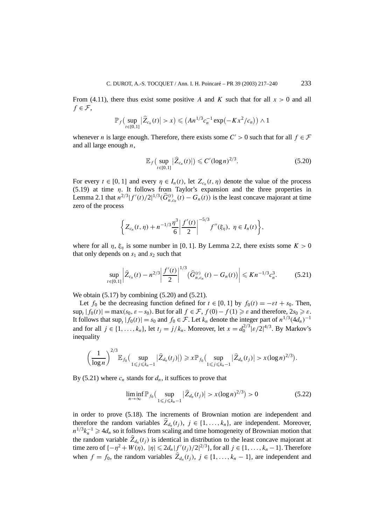From (4.11), there thus exist some positive *A* and *K* such that for all  $x > 0$  and all  $f \in \mathcal{F}$ ,

$$
\mathbb{P}_f\big(\sup_{t\in[0,1]}|\widehat{Z}_{c_n}(t)|>x\big)\leq (An^{1/3}c_n^{-1}\exp(-Kx^2/c_n))\wedge 1
$$

whenever *n* is large enough. Therefore, there exists some  $C' > 0$  such that for all  $f \in \mathcal{F}$ and all large enough *n*,

$$
\mathbb{E}_f\big(\sup_{t\in[0,1]}\big|\widehat{Z}_{c_n}(t)\big|\big) \leqslant C'(\log n)^{2/3}.\tag{5.20}
$$

For every  $t \in [0, 1]$  and every  $\eta \in I_n(t)$ , let  $Z_{c_n}(t, \eta)$  denote the value of the process (5.19) at time *η*. It follows from Taylor's expansion and the three properties in Lemma 2.1 that  $n^{2/3}|f'(t)/2|^{1/3}(\hat{G}_{n,c_n}^{(t)}(t) - G_n(t))$  is the least concave majorant at time zero of the process

$$
\left\{Z_{c_n}(t,\eta)+n^{-1/3}\frac{\eta^3}{6}\left|\frac{f'(t)}{2}\right|^{-5/3}f''(\xi_{\eta}),\ \eta\in I_n(t)\right\},\right
$$

where for all  $\eta$ ,  $\xi_{\eta}$  is some number in [0, 1]. By Lemma 2.2, there exists some  $K > 0$ that only depends on  $s_1$  and  $s_2$  such that

$$
\sup_{t\in[0,1]} \left| \widehat{Z}_{c_n}(t) - n^{2/3} \right| \frac{f'(t)}{2} \bigg|^{1/3} \left( \widehat{G}_{n,c_n}^{(t)}(t) - G_n(t) \right) \bigg| \leqslant K n^{-1/3} c_n^3. \tag{5.21}
$$

We obtain  $(5.17)$  by combining  $(5.20)$  and  $(5.21)$ .

2*/*3

Let  $f_0$  be the decreasing function defined for  $t \in [0, 1]$  by  $f_0(t) = -\varepsilon t + s_0$ . Then,  $\sup_t |f_0(t)| = \max(s_0, \varepsilon - s_0)$ . But for all  $f \in \mathcal{F}$ ,  $f(0) - f(1) \geq \varepsilon$  and therefore,  $2s_0 \geq \varepsilon$ . It follows that  $\sup_t |f_0(t)| = s_0$  and  $f_0 \in \mathcal{F}$ . Let  $k_n$  denote the integer part of  $n^{1/3}(4d_n)^{-1}$ and for all  $j \in \{1, ..., k_n\}$ , let  $t_j = j/k_n$ . Moreover, let  $x = d_0^{2/3} |\varepsilon/2|^{4/3}$ . By Markov's inequality

$$
\left(\frac{1}{\log n}\right)^{2/3} \mathbb{E}_{f_0}\big(\sup_{1\leq j\leq k_n-1}|\widehat{Z}_{d_n}(t_j)|\big) \geqslant x \mathbb{P}_{f_0}\big(\sup_{1\leq j\leq k_n-1}|\widehat{Z}_{d_n}(t_j)|> x(\log n)^{2/3}\big).
$$

By (5.21) where  $c_n$  stands for  $d_n$ , it suffices to prove that

$$
\liminf_{n \to \infty} \mathbb{P}_{f_0}\left(\sup_{1 \le j \le k_n - 1} |\widehat{Z}_{d_n}(t_j)| > x(\log n)^{2/3}\right) > 0 \tag{5.22}
$$

in order to prove (5.18). The increments of Brownian motion are independent and therefore the random variables  $\hat{Z}_{d_n}(t_i)$ ,  $j \in \{1, ..., k_n\}$ , are independent. Moreover,  $n^{1/3}k_n^{-1} \geq 4d_n$  so it follows from scaling and time homogeneity of Brownian motion that the random variable  $\hat{Z}_{d_n}(t_i)$  is identical in distribution to the least concave majorant at time zero of  $\{-\eta^2 + W(\eta), |\eta| \leq 2d_n |f'(t_j)/2|^{2/3}\}$ , for all  $j \in \{1, ..., k_n - 1\}$ . Therefore when  $f = f_0$ , the random variables  $\hat{Z}_{d_n}(t_i)$ ,  $j \in \{1, ..., k_n - 1\}$ , are independent and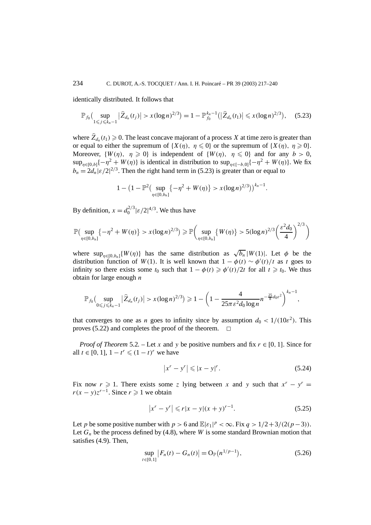identically distributed. It follows that

$$
\mathbb{P}_{f_0}\Big(\sup_{1\leqslant j\leqslant k_n-1}\big|\widehat{Z}_{d_n}(t_j)\big|>x(\log n)^{2/3}\Big)=1-\mathbb{P}_{f_0}^{k_n-1}\big(\big|\widehat{Z}_{d_n}(t_1)\big|\leqslant x(\log n)^{2/3}\big),\quad \ \ (5.23)
$$

where  $\hat{Z}_{d_n}(t_1) \geq 0$ . The least concave majorant of a process *X* at time zero is greater than or equal to either the supremum of  $\{X(\eta), \eta \leq 0\}$  or the supremum of  $\{X(\eta), \eta \geq 0\}$ . Moreover,  $\{W(\eta), \eta \geq 0\}$  is independent of  $\{W(\eta), \eta \leq 0\}$  and for any  $b > 0$ ,  $\sup_{n\in[0,b]}{-\eta^2 + W(\eta)}$  is identical in distribution to  $\sup_{n\in[-b,0]}{-\eta^2 + W(\eta)}$ . We fix  $b_n = 2d_n |\varepsilon/2|^{2/3}$ . Then the right hand term in (5.23) is greater than or equal to

$$
1 - \left(1 - \mathbb{P}^2\left(\sup_{\eta \in [0,b_n]} \{-\eta^2 + W(\eta)\} > x(\log n)^{2/3}\right)\right)^{k_n - 1}.
$$

By definition,  $x = d_0^{2/3} |\varepsilon/2|^{4/3}$ . We thus have

$$
\mathbb{P}\left(\sup_{\eta \in [0,b_n]} \{-\eta^2 + W(\eta)\} > x(\log n)^{2/3}\right) \ge \mathbb{P}\left(\sup_{\eta \in [0,b_n]} \{W(\eta)\} > 5(\log n)^{2/3}\left(\frac{\varepsilon^2 d_0}{4}\right)^{2/3}\right)
$$

where  $\sup_{n\in[0,b_n]}{W(\eta)}$  has the same distribution as  $\sqrt{b_n}|W(1)|$ . Let  $\phi$  be the distribution function of *W*(1). It is well known that  $1 - \phi(t) \sim \phi'(t)/t$  as *t* goes to infinity so there exists some  $t_0$  such that  $1 - \phi(t) \geq \phi'(t)/2t$  for all  $t \geq t_0$ . We thus obtain for large enough *n*

$$
\mathbb{P}_{f_0}\big(\sup_{0\leq j\leq k_n-1}|\widehat{Z}_{d_n}(t_j)|>x(\log n)^{2/3}\big)\geq 1-\bigg(1-\frac{4}{25\pi\,\varepsilon^2d_0\log n}n^{-\frac{25}{8}d_0\varepsilon^2}\bigg)^{k_n-1},
$$

that converges to one as *n* goes to infinity since by assumption  $d_0 < 1/(10\epsilon^2)$ . This proves (5.22) and completes the proof of the theorem.  $\Box$ 

*Proof of Theorem* 5.2*.* – Let *x* and *y* be positive numbers and fix  $r \in [0, 1]$ . Since for all *t* ∈ [0, 1],  $1 - t^r \le (1 - t)^r$  we have

$$
\left| x^r - y^r \right| \leqslant \left| x - y \right|^r. \tag{5.24}
$$

Fix now  $r \ge 1$ . There exists some *z* lying between *x* and *y* such that  $x^r - y^r =$ *r*(*x* − *y*) $z^{r-1}$ . Since *r*  $\geq 1$  we obtain

$$
|x^r - y^r| \leqslant r|x - y|(x + y)^{r-1}.
$$
\n(5.25)

Let *p* be some positive number with  $p > 6$  and  $\mathbb{E}|\varepsilon_1|^p < \infty$ . Fix  $q > 1/2 + 3/(2(p-3))$ . Let  $G_n$  be the process defined by (4.8), where *W* is some standard Brownian motion that satisfies (4.9). Then,

$$
\sup_{t \in [0,1]} |F_n(t) - G_n(t)| = O_{\mathbb{P}}(n^{1/p-1}),
$$
\n(5.26)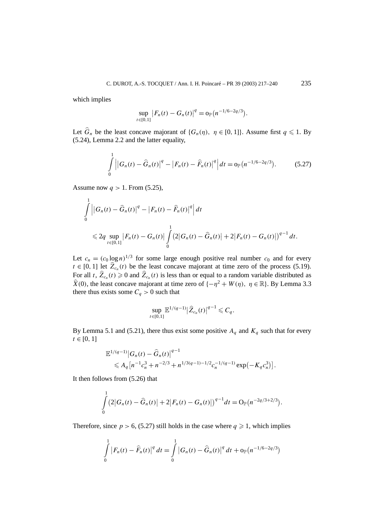which implies

$$
\sup_{t\in[0,1]} |F_n(t) - G_n(t)|^q = o_{\mathbb{P}}(n^{-1/6-2q/3}).
$$

Let  $\widehat{G}_n$  be the least concave majorant of  $\{G_n(\eta), \eta \in [0, 1]\}$ . Assume first  $q \leq 1$ . By (5.24), Lemma 2.2 and the latter equality,

$$
\int_{0}^{1} \left| |G_n(t) - \widehat{G}_n(t)|^q - |F_n(t) - \widehat{F}_n(t)|^q \right| dt = o_{\mathbb{P}}(n^{-1/6 - 2q/3}). \tag{5.27}
$$

Assume now *q >* 1. From (5.25),

$$
\int_{0}^{1} \left| |G_n(t) - \widehat{G}_n(t)|^q - |F_n(t) - \widehat{F}_n(t)|^q \right| dt
$$
\n
$$
\leq 2q \sup_{t \in [0,1]} |F_n(t) - G_n(t)| \int_{0}^{1} (2|G_n(t) - \widehat{G}_n(t)| + 2|F_n(t) - G_n(t)|)^{q-1} dt.
$$

Let  $c_n = (c_0 \log n)^{1/3}$  for some large enough positive real number  $c_0$  and for every  $t \in [0, 1]$  let  $\hat{Z}_{c_n}(t)$  be the least concave majorant at time zero of the process (5.19). For all *t*,  $\hat{Z}_{c_n}(t) \ge 0$  and  $\hat{Z}_{c_n}(t)$  is less than or equal to a random variable distributed as  $\hat{X}(0)$ , the least concave majorant at time zero of  $\{-\eta^2 + W(\eta), \eta \in \mathbb{R}\}$ . By Lemma 3.3 there thus exists some  $C_q > 0$  such that

$$
\sup_{t\in[0,1]}\mathbb{E}^{1/(q-1)}|\widehat{Z}_{c_n}(t)|^{q-1}\leq C_q.
$$

By Lemma 5.1 and (5.21), there thus exist some positive  $A_q$  and  $K_q$  such that for every  $t \in [0, 1]$ 

$$
\mathbb{E}^{1/(q-1)}|G_n(t) - \widehat{G}_n(t)|^{q-1}
$$
  
\$\leq A\_q[n^{-1}c\_n^3 + n^{-2/3} + n^{1/3(q-1)-1/2}c\_n^{-1/(q-1)}\exp(-K\_qc\_n^3)].

It then follows from (5.26) that

$$
\int_{0}^{1} (2|G_n(t) - \widehat{G}_n(t)| + 2|F_n(t) - G_n(t)|)^{q-1} dt = O_{\mathbb{P}}(n^{-2q/3+2/3}).
$$

Therefore, since  $p > 6$ , (5.27) still holds in the case where  $q \ge 1$ , which implies

$$
\int_{0}^{1} |F_n(t) - \widehat{F}_n(t)|^q dt = \int_{0}^{1} |G_n(t) - \widehat{G}_n(t)|^q dt + o_{\mathbb{P}}(n^{-1/6 - 2q/3})
$$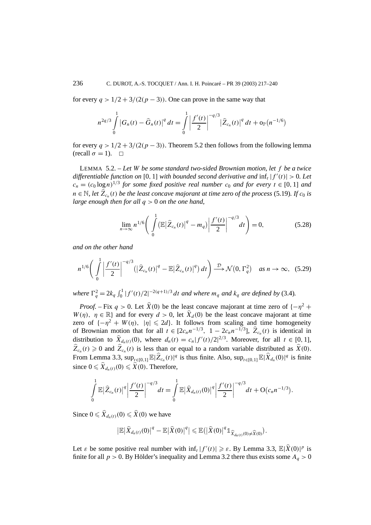for every  $q > 1/2 + 3/(2(p-3))$ . One can prove in the same way that

$$
n^{2q/3} \int_{0}^{1} |G_n(t) - \widehat{G}_n(t)|^q dt = \int_{0}^{1} \left| \frac{f'(t)}{2} \right|^{-q/3} |\widehat{Z}_{c_n}(t)|^q dt + o_{\mathbb{P}}(n^{-1/6})
$$

for every  $q > 1/2 + 3/(2(p-3))$ . Theorem 5.2 then follows from the following lemma  $(\text{recall } \sigma = 1). \square$ 

LEMMA 5.2. – *Let W be some standard two-sided Brownian motion, let f be a twice differentiable function on* [0, 1] *with bounded second derivative and*  $\inf_t |f'(t)| > 0$ . Let  $c_n = (c_0 \log n)^{1/3}$  *for some fixed positive real number*  $c_0$  *and for every*  $t \in [0, 1]$  *and n* ∈ N, let  $\hat{Z}_{c_n}(t)$  *be the least concave majorant at time zero of the process* (5.19)*. If*  $c_0$  *is large enough then for all q >* 0 *on the one hand,*

$$
\lim_{n \to \infty} n^{1/6} \bigg( \int_{0}^{1} (\mathbb{E} |\widehat{Z}_{c_n}(t)|^q - m_q) \bigg| \frac{f'(t)}{2} \bigg|^{-q/3} dt \bigg) = 0, \tag{5.28}
$$

*and on the other hand*

$$
n^{1/6} \bigg( \int\limits_{0}^{1} \bigg| \frac{f'(t)}{2} \bigg|^{-q/3} \big( \big| \widehat{Z}_{c_n}(t) \big|^q - \mathbb{E} \big| \widehat{Z}_{c_n}(t) \big|^q \big) \, dt \bigg) \stackrel{\mathcal{D}}{\longrightarrow} \mathcal{N}\big(0, \Gamma_q^2\big) \quad \text{as } n \to \infty, \tag{5.29}
$$

*where*  $\Gamma_q^2 = 2k_q \int_0^1 |f'(t)/2|^{-2(q+1)/3} dt$  *and where*  $m_q$  *and*  $k_q$  *are defined by* (3.4)*.* 

*Proof.* – Fix  $q > 0$ . Let  $\hat{X}(0)$  be the least concave majorant at time zero of  $\{-\eta^2 +$ *W*(*η*),  $\eta \in \mathbb{R}$  and for every  $d > 0$ , let  $\hat{X}_d(0)$  be the least concave majorant at time zero of  $\{-\eta^2 + W(\eta), |\eta| \leq 2d\}$ . It follows from scaling and time homogeneity of Brownian motion that for all  $t \in [2c_n n^{-1/3}, 1 - 2c_n n^{-1/3}], \hat{Z}_{c_n}(t)$  is identical in distribution to  $\hat{X}_{d_n(t)}(0)$ , where  $d_n(t) = c_n |f'(t)/2|^{2/3}$ . Moreover, for all  $t \in [0, 1]$ ,  $\hat{Z}_{c_n}(t) \geq 0$  and  $\hat{Z}_{c_n}(t)$  is less than or equal to a random variable distributed as  $\hat{X}(0)$ . From Lemma 3.3,  $\sup_{t \in [0,1]} \mathbb{E}|\hat{Z}_{c_n}(t)|^q$  is thus finite. Also,  $\sup_{t \in [0,1]} \mathbb{E}|\hat{X}_{d_n}(0)|^q$  is finite since  $0 \leq X_{d_n(t)}(0) \leq X(0)$ . Therefore,

$$
\int_{0}^{1} \mathbb{E} |\widehat{Z}_{c_n}(t)|^q \left| \frac{f'(t)}{2} \right|^{-q/3} dt = \int_{0}^{1} \mathbb{E} |\widehat{X}_{d_n(t)}(0)|^q \left| \frac{f'(t)}{2} \right|^{-q/3} dt + O(c_n n^{-1/3}).
$$

Since  $0 \leq X_{d_n(t)}(0) \leq X(0)$  we have

$$
\big|\mathbb{E}\big|\widehat{X}_{d_n(t)}(0)\big|^q - \mathbb{E}\big|\widehat{X}(0)\big|^q\big|\leq \mathbb{E}\big(\big|\widehat{X}(0)\big|^q 1_{\widehat{X}_{d_n(t)}(0)\neq \widehat{X}(0)}\big).
$$

Let  $\varepsilon$  be some positive real number with  $\inf_t |f'(t)| \geq \varepsilon$ . By Lemma 3.3,  $\mathbb{E}|\hat{X}(0)|^p$  is finite for all  $p > 0$ . By Hölder's inequality and Lemma 3.2 there thus exists some  $A_q > 0$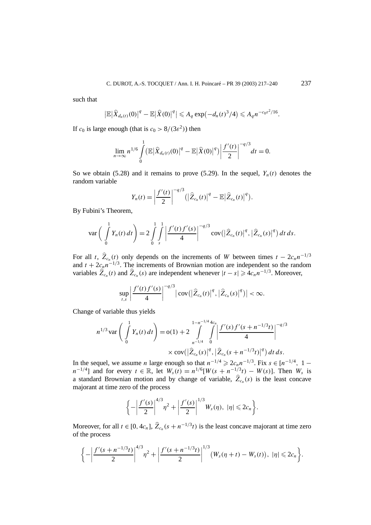such that

$$
\left|\mathbb{E}\left|\widehat{X}_{d_n(t)}(0)\right|^q-\mathbb{E}\left|\widehat{X}(0)\right|^q\right|\leqslant A_q\exp\left(-d_n(t)^3/4\right)\leqslant A_qn^{-c_0\epsilon^2/16}.
$$

If  $c_0$  is large enough (that is  $c_0 > 8/(3\epsilon^2)$ ) then

$$
\lim_{n\to\infty}n^{1/6}\int_{0}^{1}(\mathbb{E}|\widehat{X}_{d_n(t)}(0)|^q-\mathbb{E}|\widehat{X}(0)|^q)\bigg|\frac{f'(t)}{2}\bigg|^{-q/3}dt=0.
$$

So we obtain (5.28) and it remains to prove (5.29). In the sequel,  $Y_n(t)$  denotes the random variable

$$
Y_n(t) = \left| \frac{f'(t)}{2} \right|^{-q/3} \left( \left| \widehat{Z}_{c_n}(t) \right|^q - \mathbb{E} \left| \widehat{Z}_{c_n}(t) \right|^q \right).
$$

By Fubini's Theorem,

$$
\text{var}\left(\int\limits_{0}^{1} Y_n(t) \, dt\right) = 2 \int\limits_{0}^{1} \int\limits_{s}^{1} \left| \frac{f'(t) f'(s)}{4} \right|^{-q/3} \text{cov}\left(\left| \widehat{Z}_{c_n}(t) \right|^{q}, \left| \widehat{Z}_{c_n}(s) \right|^{q}\right) dt \, ds.
$$

For all *t*,  $\hat{Z}_{c_n}(t)$  only depends on the increments of *W* between times  $t - 2c_n n^{-1/3}$ and  $t + 2c_n n^{-1/3}$ . The increments of Brownian motion are independent so the random variables  $\hat{Z}_{c_n}(t)$  and  $\hat{Z}_{c_n}(s)$  are independent whenever  $|t-s| \geq 4c_n n^{-1/3}$ . Moreover,

$$
\sup_{t,s}\left|\frac{f'(t)f'(s)}{4}\right|^{-q/3}|\text{cov}(|\widehat{Z}_{c_n}(t)|^q,|\widehat{Z}_{c_n}(s)|^q)|<\infty.
$$

Change of variable thus yields

$$
n^{1/3} \operatorname{var}\left(\int\limits_{0}^{1} Y_n(t) dt\right) = o(1) + 2 \int\limits_{n^{-1/4}}^{1-n^{-1/4} 4c_n} \int\limits_{0}^{R} \left|\frac{f'(s) f'(s+n^{-1/3}t)}{4}\right|^{-q/3}
$$
  
 
$$
\times \operatorname{cov}(\left|\widehat{Z}_{c_n}(s)\right|^q, \left|\widehat{Z}_{c_n}(s+n^{-1/3}t)\right|^q) dt ds.
$$

In the sequel, we assume *n* large enough so that  $n^{-1/4} \ge 2c_n n^{-1/3}$ . Fix  $s \in [n^{-1/4}, 1$ *n*<sup>−1</sup>/<sup>4</sup>] and for every  $t \in \mathbb{R}$ , let  $W_s(t) = n^{1/6}[W(s + n^{-1/3}t) - W(s)]$ . Then  $W_s$  is a standard Brownian motion and by change of variable,  $\hat{Z}_{c_n}(s)$  is the least concave majorant at time zero of the process

$$
\bigg\{-\bigg|\frac{f'(s)}{2}\bigg|^{4/3}\eta^2+\bigg|\frac{f'(s)}{2}\bigg|^{1/3}W_s(\eta),\ |\eta|\leqslant 2c_n\bigg\}.
$$

Moreover, for all  $t \in [0, 4c_n]$ ,  $\hat{Z}_{c_n}(s + n^{-1/3}t)$  is the least concave majorant at time zero of the process

$$
\left\{-\left|\frac{f'(s+n^{-1/3}t)}{2}\right|^{4/3}\eta^2+\left|\frac{f'(s+n^{-1/3}t)}{2}\right|^{1/3}(W_s(\eta+t)-W_s(t)),\ |\eta|\leqslant 2c_n\right\}.
$$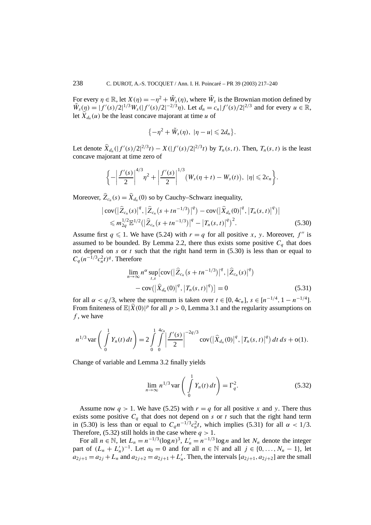For every  $\eta \in \mathbb{R}$ , let  $X(\eta) = -\eta^2 + \tilde{W}_s(\eta)$ , where  $\tilde{W}_s$  is the Brownian motion defined by  $\tilde{W}_s(\eta) = |f'(s)/2|^{1/3} W_s(|f'(s)/2|^{-2/3}\eta)$ . Let  $d_n = c_n |f'(s)/2|^{2/3}$  and for every  $u \in \mathbb{R}$ , let  $\hat{X}_{d_n}(u)$  be the least concave majorant at time *u* of

$$
\{-\eta^2+\tilde{W}_s(\eta),\ |\eta-u|\leqslant 2d_n\}.
$$

Let denote  $\hat{X}_{d_n}(|f'(s)/2|^{2/3}t) - X(|f'(s)/2|^{2/3}t)$  by  $T_n(s, t)$ . Then,  $T_n(s, t)$  is the least concave majorant at time zero of

$$
\left\{-\left|\frac{f'(s)}{2}\right|^{4/3}\eta^2+\left|\frac{f'(s)}{2}\right|^{1/3}(W_s(\eta+t)-W_s(t)),\ |\eta|\leqslant 2c_n\right\}.
$$

Moreover,  $\hat{Z}_{c_n}(s) = \hat{X}_{d_n}(0)$  so by Cauchy–Schwarz inequality,

$$
\begin{split} \left| \, \text{cov} \big( \big| \widehat{Z}_{c_n}(s) \big|^q, \big| \widehat{Z}_{c_n}(s+tn^{-1/3}) \big|^q \big) - \text{cov} \big( \big| \widehat{X}_{d_n}(0) \big|^q, \big| T_n(s,t) \big|^q \big) \right| \\ &\leqslant m_{2q}^{1/2} \mathbb{E}^{1/2} \big( \big| \widehat{Z}_{c_n}(s+tn^{-1/3}) \big|^q - \big| T_n(s,t) \big|^q \big)^2. \end{split} \tag{5.30}
$$

Assume first  $q \leq 1$ . We have (5.24) with  $r = q$  for all positive *x*, *y*. Moreover,  $f''$  is assumed to be bounded. By Lemma 2.2, there thus exists some positive  $C_a$  that does not depend on  $s$  or  $t$  such that the right hand term in  $(5.30)$  is less than or equal to  $C_q(n^{-1/3}c_n^2t)^q$ . Therefore

$$
\lim_{n \to \infty} n^{\alpha} \sup_{t,s} \left[ \text{cov} \left( \left| \widehat{Z}_{c_n} \left( s + t n^{-1/3} \right) \right|^q, \left| \widehat{Z}_{c_n}(s) \right|^q \right) \right] - \text{cov} \left( \left| \widehat{X}_{d_n}(0) \right|^q, \left| T_n(s, t) \right|^q \right) \right] = 0 \tag{5.31}
$$

for all  $\alpha < q/3$ , where the supremum is taken over  $t \in [0, 4c_n]$ ,  $s \in [n^{-1/4}, 1 - n^{-1/4}]$ . From finiteness of  $\mathbb{E}|\hat{X}(0)|^p$  for all  $p > 0$ , Lemma 3.1 and the regularity assumptions on *f* , we have

$$
n^{1/3} \operatorname{var}\left(\int\limits_{0}^{1} Y_n(t) dt\right) = 2 \int\limits_{0}^{1} \int\limits_{0}^{4c_n} \left|\frac{f'(s)}{2}\right|^{-2q/3} \operatorname{cov}\left(\left|\widehat{X}_{d_n}(0)\right|^q, \left|T_n(s,t)\right|^q\right) dt ds + o(1).
$$

Change of variable and Lemma 3.2 finally yields

$$
\lim_{n \to \infty} n^{1/3} \operatorname{var}\left(\int_{0}^{1} Y_n(t) dt\right) = \Gamma_q^2.
$$
 (5.32)

Assume now  $q > 1$ . We have (5.25) with  $r = q$  for all positive x and y. There thus exists some positive  $C_q$  that does not depend on  $s$  or  $t$  such that the right hand term in (5.30) is less than or equal to  $C_q n^{-1/3} c_n^2 t$ , which implies (5.31) for all  $\alpha < 1/3$ . Therefore, (5.32) still holds in the case where  $q > 1$ .

For all  $n \in \mathbb{N}$ , let  $L_n = n^{-1/3} (\log n)^3$ ,  $L'_n = n^{-1/3} \log n$  and let  $N_n$  denote the integer part of  $(L_n + L'_n)^{-1}$ . Let  $a_0 = 0$  and for all  $n \in \mathbb{N}$  and all  $j \in \{0, ..., N_n - 1\}$ , let  $a_{2j+1} = a_{2j} + L_n$  and  $a_{2j+2} = a_{2j+1} + L'_n$ . Then, the intervals  $[a_{2j+1}, a_{2j+2}]$  are the small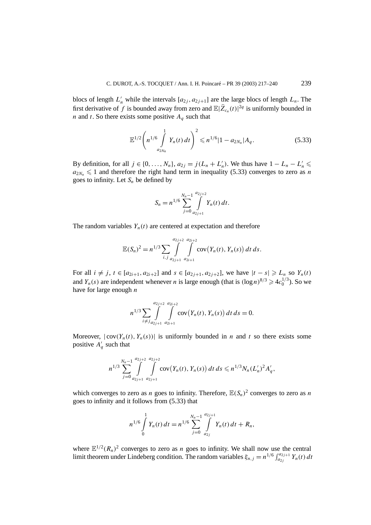blocs of length  $L'_n$  while the intervals  $[a_{2j}, a_{2j+1}]$  are the large blocs of length  $L_n$ . The first derivative of *f* is bounded away from zero and  $\mathbb{E}|\hat{Z}_{c_n}(t)|^{2q}$  is uniformly bounded in *n* and *t*. So there exists some positive *Aq* such that

$$
\mathbb{E}^{1/2}\left(n^{1/6}\int\limits_{a_{2N_n}}^{1}Y_n(t)\,dt\right)^2\leqslant n^{1/6}|1-a_{2N_n}|A_q.\tag{5.33}
$$

By definition, for all  $j \in \{0, ..., N_n\}$ ,  $a_{2j} = j(L_n + L'_n)$ . We thus have  $1 - L_n - L'_n \le$  $a_{2N_n} \leq 1$  and therefore the right hand term in inequality (5.33) converges to zero as *n* goes to infinity. Let  $S_n$  be defined by

$$
S_n = n^{1/6} \sum_{j=0}^{N_n-1} \int_{a_{2j+1}}^{a_{2j+2}} Y_n(t) dt.
$$

The random variables  $Y_n(t)$  are centered at expectation and therefore

$$
\mathbb{E}(S_n)^2 = n^{1/3} \sum_{i,j} \int_{a_{2j+1}}^{a_{2j+2}} \int_{a_{2i+1}}^{a_{2i+2}} \mathrm{cov}(Y_n(t), Y_n(s)) dt ds.
$$

For all  $i \neq j$ ,  $t \in [a_{2i+1}, a_{2i+2}]$  and  $s \in [a_{2i+1}, a_{2i+2}]$ , we have  $|t - s| \geq L_n$  so  $Y_n(t)$ and *Y<sub>n</sub>*(*s*) are independent whenever *n* is large enough (that is  $(\log n)^{8/3} \ge 4c_0^{1/3}$ ). So we have for large enough *n*

$$
n^{1/3} \sum_{i \neq j} \int_{a_{2j+1}}^{a_{2j+2}} \int_{a_{2i+1}}^{a_{2i+2}} \mathrm{cov}(Y_n(t), Y_n(s)) dt ds = 0.
$$

Moreover,  $|\text{cov}(Y_n(t), Y_n(s))|$  is uniformly bounded in *n* and *t* so there exists some positive  $A'_q$  such that

$$
n^{1/3}\sum_{j=0}^{N_n-1}\int\limits_{a_{2j+1}}^{a_{2j+2}}\int\limits_{a_{2j+1}}^{a_{2j+2}}\mathrm{cov}(Y_n(t),Y_n(s))\,dt\,ds\leqslant n^{1/3}N_n(L'_n)^2A'_q,
$$

which converges to zero as *n* goes to infinity. Therefore,  $\mathbb{E}(S_n)^2$  converges to zero as *n* goes to infinity and it follows from (5.33) that

$$
n^{1/6}\int\limits_{0}^{1}Y_n(t)\,dt=n^{1/6}\sum\limits_{j=0}^{N_n-1}\int\limits_{a_{2j}}^{a_{2j+1}}Y_n(t)\,dt+R_n,
$$

where  $\mathbb{E}^{1/2}(R_n)^2$  converges to zero as *n* goes to infinity. We shall now use the central limit theorem under Lindeberg condition. The random variables  $\xi_{n,j} = n^{1/6} \int_{a_{2j}}^{a_{2j+1}} Y_n(t) dt$